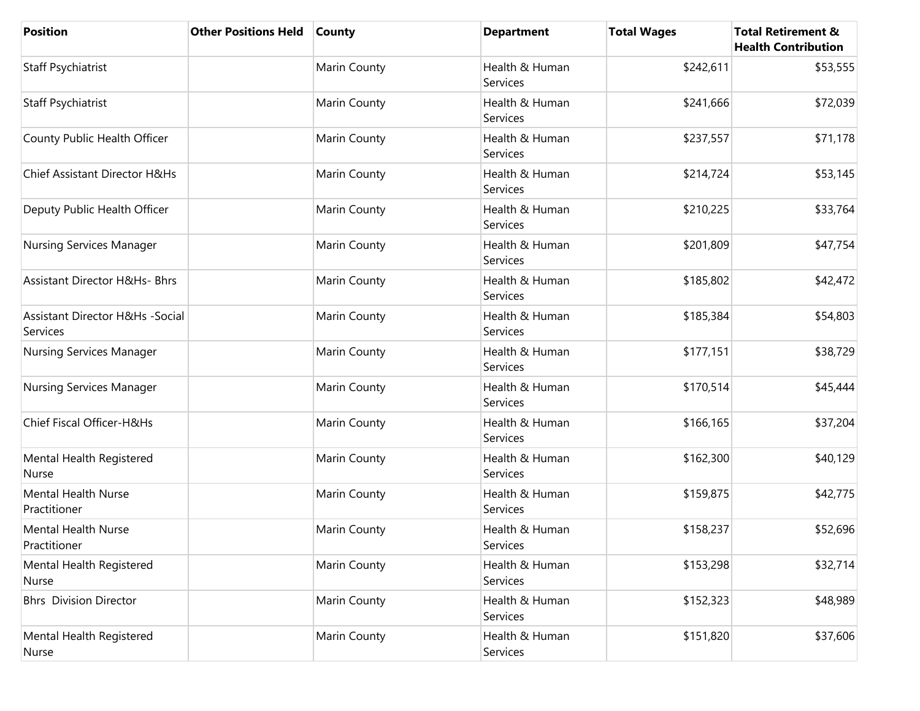| <b>Position</b>                                        | <b>Other Positions Held</b> | <b>County</b> | <b>Department</b>          | <b>Total Wages</b> | <b>Total Retirement &amp;</b><br><b>Health Contribution</b> |
|--------------------------------------------------------|-----------------------------|---------------|----------------------------|--------------------|-------------------------------------------------------------|
| Staff Psychiatrist                                     |                             | Marin County  | Health & Human<br>Services | \$242,611          | \$53,555                                                    |
| <b>Staff Psychiatrist</b>                              |                             | Marin County  | Health & Human<br>Services | \$241,666          | \$72,039                                                    |
| County Public Health Officer                           |                             | Marin County  | Health & Human<br>Services | \$237,557          | \$71,178                                                    |
| Chief Assistant Director H&Hs                          |                             | Marin County  | Health & Human<br>Services | \$214,724          | \$53,145                                                    |
| Deputy Public Health Officer                           |                             | Marin County  | Health & Human<br>Services | \$210,225          | \$33,764                                                    |
| Nursing Services Manager                               |                             | Marin County  | Health & Human<br>Services | \$201,809          | \$47,754                                                    |
| <b>Assistant Director H&amp;Hs- Bhrs</b>               |                             | Marin County  | Health & Human<br>Services | \$185,802          | \$42,472                                                    |
| <b>Assistant Director H&amp;Hs -Social</b><br>Services |                             | Marin County  | Health & Human<br>Services | \$185,384          | \$54,803                                                    |
| Nursing Services Manager                               |                             | Marin County  | Health & Human<br>Services | \$177,151          | \$38,729                                                    |
| <b>Nursing Services Manager</b>                        |                             | Marin County  | Health & Human<br>Services | \$170,514          | \$45,444                                                    |
| Chief Fiscal Officer-H&Hs                              |                             | Marin County  | Health & Human<br>Services | \$166,165          | \$37,204                                                    |
| Mental Health Registered<br>Nurse                      |                             | Marin County  | Health & Human<br>Services | \$162,300          | \$40,129                                                    |
| <b>Mental Health Nurse</b><br>Practitioner             |                             | Marin County  | Health & Human<br>Services | \$159,875          | \$42,775                                                    |
| <b>Mental Health Nurse</b><br>Practitioner             |                             | Marin County  | Health & Human<br>Services | \$158,237          | \$52,696                                                    |
| Mental Health Registered<br>Nurse                      |                             | Marin County  | Health & Human<br>Services | \$153,298          | \$32,714                                                    |
| <b>Bhrs</b> Division Director                          |                             | Marin County  | Health & Human<br>Services | \$152,323          | \$48,989                                                    |
| Mental Health Registered<br>Nurse                      |                             | Marin County  | Health & Human<br>Services | \$151,820          | \$37,606                                                    |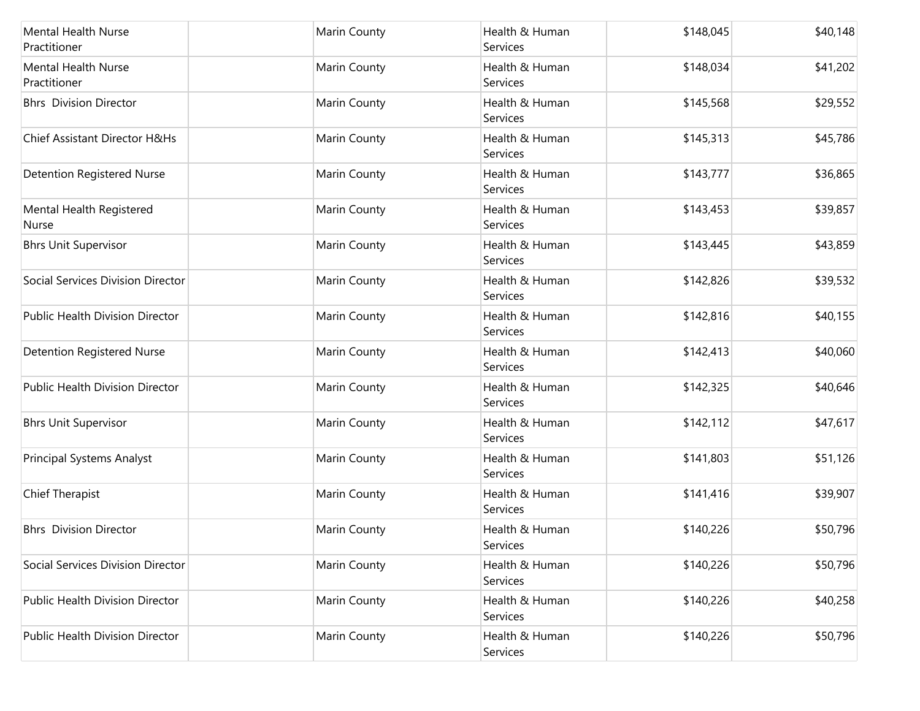| <b>Mental Health Nurse</b><br>Practitioner | Marin County        | Health & Human<br>Services | \$148,045 | \$40,148 |
|--------------------------------------------|---------------------|----------------------------|-----------|----------|
| Mental Health Nurse<br>Practitioner        | <b>Marin County</b> | Health & Human<br>Services | \$148,034 | \$41,202 |
| <b>Bhrs</b> Division Director              | Marin County        | Health & Human<br>Services | \$145,568 | \$29,552 |
| Chief Assistant Director H&Hs              | Marin County        | Health & Human<br>Services | \$145,313 | \$45,786 |
| <b>Detention Registered Nurse</b>          | Marin County        | Health & Human<br>Services | \$143,777 | \$36,865 |
| Mental Health Registered<br>Nurse          | Marin County        | Health & Human<br>Services | \$143,453 | \$39,857 |
| <b>Bhrs Unit Supervisor</b>                | Marin County        | Health & Human<br>Services | \$143,445 | \$43,859 |
| Social Services Division Director          | Marin County        | Health & Human<br>Services | \$142,826 | \$39,532 |
| <b>Public Health Division Director</b>     | Marin County        | Health & Human<br>Services | \$142,816 | \$40,155 |
| <b>Detention Registered Nurse</b>          | Marin County        | Health & Human<br>Services | \$142,413 | \$40,060 |
| Public Health Division Director            | <b>Marin County</b> | Health & Human<br>Services | \$142,325 | \$40,646 |
| <b>Bhrs Unit Supervisor</b>                | Marin County        | Health & Human<br>Services | \$142,112 | \$47,617 |
| Principal Systems Analyst                  | Marin County        | Health & Human<br>Services | \$141,803 | \$51,126 |
| Chief Therapist                            | Marin County        | Health & Human<br>Services | \$141,416 | \$39,907 |
| <b>Bhrs</b> Division Director              | Marin County        | Health & Human<br>Services | \$140,226 | \$50,796 |
| Social Services Division Director          | Marin County        | Health & Human<br>Services | \$140,226 | \$50,796 |
| <b>Public Health Division Director</b>     | <b>Marin County</b> | Health & Human<br>Services | \$140,226 | \$40,258 |
| Public Health Division Director            | Marin County        | Health & Human<br>Services | \$140,226 | \$50,796 |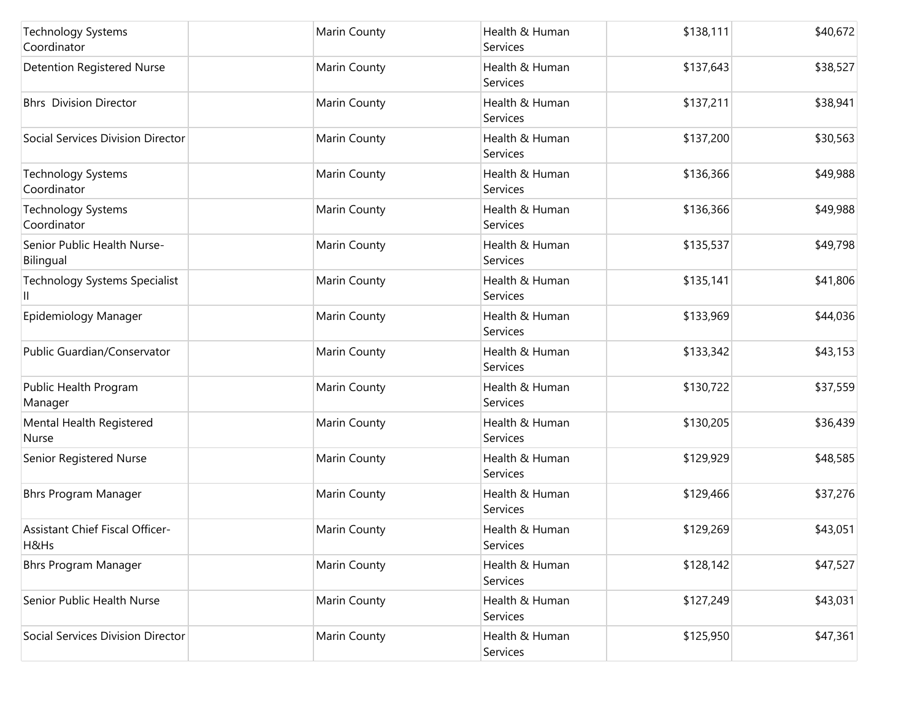| <b>Technology Systems</b><br>Coordinator  | Marin County | Health & Human<br>Services | \$138,111 | \$40,672 |
|-------------------------------------------|--------------|----------------------------|-----------|----------|
| <b>Detention Registered Nurse</b>         | Marin County | Health & Human<br>Services | \$137,643 | \$38,527 |
| <b>Bhrs</b> Division Director             | Marin County | Health & Human<br>Services | \$137,211 | \$38,941 |
| Social Services Division Director         | Marin County | Health & Human<br>Services | \$137,200 | \$30,563 |
| <b>Technology Systems</b><br>Coordinator  | Marin County | Health & Human<br>Services | \$136,366 | \$49,988 |
| <b>Technology Systems</b><br>Coordinator  | Marin County | Health & Human<br>Services | \$136,366 | \$49,988 |
| Senior Public Health Nurse-<br>Bilingual  | Marin County | Health & Human<br>Services | \$135,537 | \$49,798 |
| <b>Technology Systems Specialist</b><br>Ш | Marin County | Health & Human<br>Services | \$135,141 | \$41,806 |
| Epidemiology Manager                      | Marin County | Health & Human<br>Services | \$133,969 | \$44,036 |
| Public Guardian/Conservator               | Marin County | Health & Human<br>Services | \$133,342 | \$43,153 |
| Public Health Program<br>Manager          | Marin County | Health & Human<br>Services | \$130,722 | \$37,559 |
| Mental Health Registered<br>Nurse         | Marin County | Health & Human<br>Services | \$130,205 | \$36,439 |
| Senior Registered Nurse                   | Marin County | Health & Human<br>Services | \$129,929 | \$48,585 |
| <b>Bhrs Program Manager</b>               | Marin County | Health & Human<br>Services | \$129,466 | \$37,276 |
| Assistant Chief Fiscal Officer-<br>H&Hs   | Marin County | Health & Human<br>Services | \$129,269 | \$43,051 |
| <b>Bhrs Program Manager</b>               | Marin County | Health & Human<br>Services | \$128,142 | \$47,527 |
| Senior Public Health Nurse                | Marin County | Health & Human<br>Services | \$127,249 | \$43,031 |
| Social Services Division Director         | Marin County | Health & Human<br>Services | \$125,950 | \$47,361 |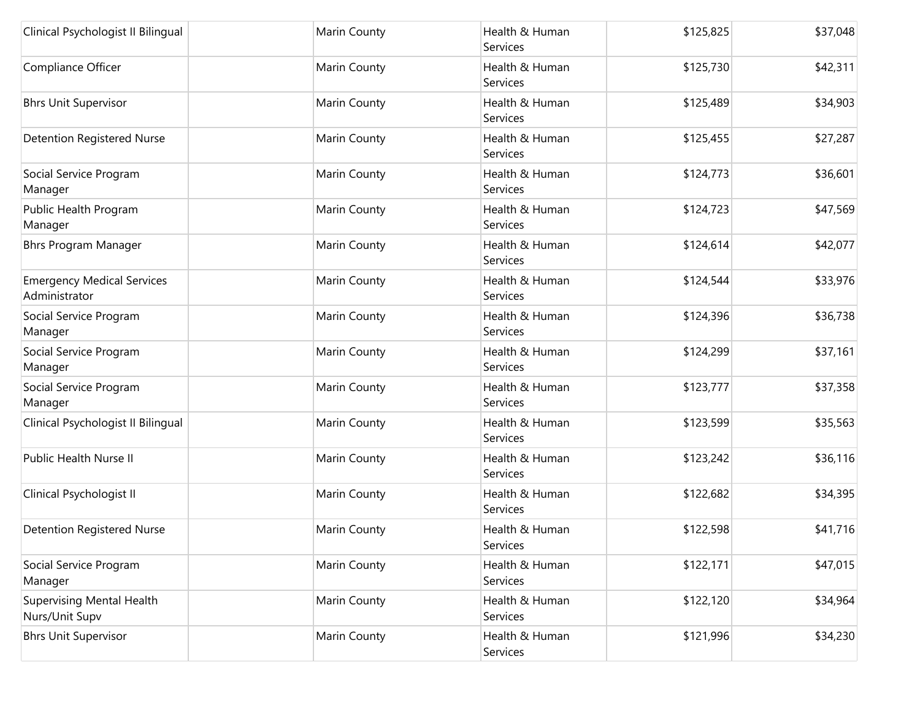| Clinical Psychologist II Bilingual                 | Marin County | Health & Human<br>Services | \$125,825 | \$37,048 |
|----------------------------------------------------|--------------|----------------------------|-----------|----------|
| Compliance Officer                                 | Marin County | Health & Human<br>Services | \$125,730 | \$42,311 |
| <b>Bhrs Unit Supervisor</b>                        | Marin County | Health & Human<br>Services | \$125,489 | \$34,903 |
| <b>Detention Registered Nurse</b>                  | Marin County | Health & Human<br>Services | \$125,455 | \$27,287 |
| Social Service Program<br>Manager                  | Marin County | Health & Human<br>Services | \$124,773 | \$36,601 |
| Public Health Program<br>Manager                   | Marin County | Health & Human<br>Services | \$124,723 | \$47,569 |
| <b>Bhrs Program Manager</b>                        | Marin County | Health & Human<br>Services | \$124,614 | \$42,077 |
| <b>Emergency Medical Services</b><br>Administrator | Marin County | Health & Human<br>Services | \$124,544 | \$33,976 |
| Social Service Program<br>Manager                  | Marin County | Health & Human<br>Services | \$124,396 | \$36,738 |
| Social Service Program<br>Manager                  | Marin County | Health & Human<br>Services | \$124,299 | \$37,161 |
| Social Service Program<br>Manager                  | Marin County | Health & Human<br>Services | \$123,777 | \$37,358 |
| Clinical Psychologist II Bilingual                 | Marin County | Health & Human<br>Services | \$123,599 | \$35,563 |
| Public Health Nurse II                             | Marin County | Health & Human<br>Services | \$123,242 | \$36,116 |
| Clinical Psychologist II                           | Marin County | Health & Human<br>Services | \$122,682 | \$34,395 |
| <b>Detention Registered Nurse</b>                  | Marin County | Health & Human<br>Services | \$122,598 | \$41,716 |
| Social Service Program<br>Manager                  | Marin County | Health & Human<br>Services | \$122,171 | \$47,015 |
| <b>Supervising Mental Health</b><br>Nurs/Unit Supv | Marin County | Health & Human<br>Services | \$122,120 | \$34,964 |
| <b>Bhrs Unit Supervisor</b>                        | Marin County | Health & Human<br>Services | \$121,996 | \$34,230 |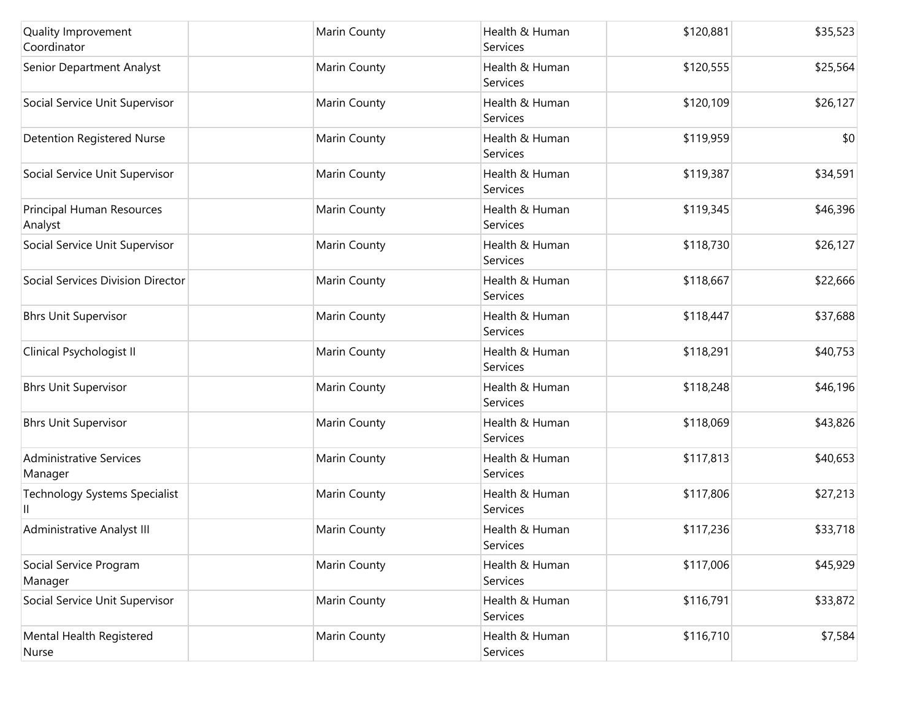| Quality Improvement<br>Coordinator        | Marin County | Health & Human<br>Services | \$120,881 | \$35,523 |
|-------------------------------------------|--------------|----------------------------|-----------|----------|
| Senior Department Analyst                 | Marin County | Health & Human<br>Services | \$120,555 | \$25,564 |
| Social Service Unit Supervisor            | Marin County | Health & Human<br>Services | \$120,109 | \$26,127 |
| <b>Detention Registered Nurse</b>         | Marin County | Health & Human<br>Services | \$119,959 | \$0      |
| Social Service Unit Supervisor            | Marin County | Health & Human<br>Services | \$119,387 | \$34,591 |
| Principal Human Resources<br>Analyst      | Marin County | Health & Human<br>Services | \$119,345 | \$46,396 |
| Social Service Unit Supervisor            | Marin County | Health & Human<br>Services | \$118,730 | \$26,127 |
| Social Services Division Director         | Marin County | Health & Human<br>Services | \$118,667 | \$22,666 |
| <b>Bhrs Unit Supervisor</b>               | Marin County | Health & Human<br>Services | \$118,447 | \$37,688 |
| Clinical Psychologist II                  | Marin County | Health & Human<br>Services | \$118,291 | \$40,753 |
| <b>Bhrs Unit Supervisor</b>               | Marin County | Health & Human<br>Services | \$118,248 | \$46,196 |
| <b>Bhrs Unit Supervisor</b>               | Marin County | Health & Human<br>Services | \$118,069 | \$43,826 |
| <b>Administrative Services</b><br>Manager | Marin County | Health & Human<br>Services | \$117,813 | \$40,653 |
| <b>Technology Systems Specialist</b><br>Ш | Marin County | Health & Human<br>Services | \$117,806 | \$27,213 |
| Administrative Analyst III                | Marin County | Health & Human<br>Services | \$117,236 | \$33,718 |
| Social Service Program<br>Manager         | Marin County | Health & Human<br>Services | \$117,006 | \$45,929 |
| Social Service Unit Supervisor            | Marin County | Health & Human<br>Services | \$116,791 | \$33,872 |
| Mental Health Registered<br>Nurse         | Marin County | Health & Human<br>Services | \$116,710 | \$7,584  |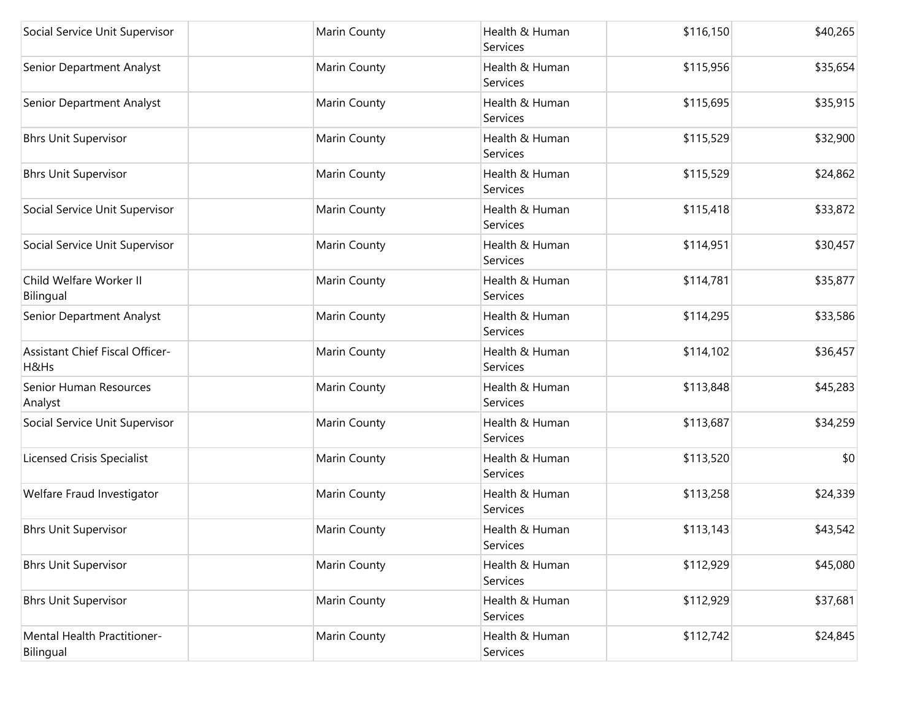| Social Service Unit Supervisor                 | Marin County | Health & Human<br>Services        | \$116,150 | \$40,265 |
|------------------------------------------------|--------------|-----------------------------------|-----------|----------|
| Senior Department Analyst                      | Marin County | Health & Human<br>Services        | \$115,956 | \$35,654 |
| Senior Department Analyst                      | Marin County | Health & Human<br>Services        | \$115,695 | \$35,915 |
| <b>Bhrs Unit Supervisor</b>                    | Marin County | Health & Human<br>Services        | \$115,529 | \$32,900 |
| <b>Bhrs Unit Supervisor</b>                    | Marin County | Health & Human<br>Services        | \$115,529 | \$24,862 |
| Social Service Unit Supervisor                 | Marin County | Health & Human<br><b>Services</b> | \$115,418 | \$33,872 |
| Social Service Unit Supervisor                 | Marin County | Health & Human<br>Services        | \$114,951 | \$30,457 |
| Child Welfare Worker II<br>Bilingual           | Marin County | Health & Human<br>Services        | \$114,781 | \$35,877 |
| Senior Department Analyst                      | Marin County | Health & Human<br>Services        | \$114,295 | \$33,586 |
| <b>Assistant Chief Fiscal Officer-</b><br>H&Hs | Marin County | Health & Human<br>Services        | \$114,102 | \$36,457 |
| Senior Human Resources<br>Analyst              | Marin County | Health & Human<br>Services        | \$113,848 | \$45,283 |
| Social Service Unit Supervisor                 | Marin County | Health & Human<br>Services        | \$113,687 | \$34,259 |
| <b>Licensed Crisis Specialist</b>              | Marin County | Health & Human<br>Services        | \$113,520 | \$0      |
| Welfare Fraud Investigator                     | Marin County | Health & Human<br>Services        | \$113,258 | \$24,339 |
| <b>Bhrs Unit Supervisor</b>                    | Marin County | Health & Human<br>Services        | \$113,143 | \$43,542 |
| <b>Bhrs Unit Supervisor</b>                    | Marin County | Health & Human<br>Services        | \$112,929 | \$45,080 |
| <b>Bhrs Unit Supervisor</b>                    | Marin County | Health & Human<br><b>Services</b> | \$112,929 | \$37,681 |
| Mental Health Practitioner-<br>Bilingual       | Marin County | Health & Human<br>Services        | \$112,742 | \$24,845 |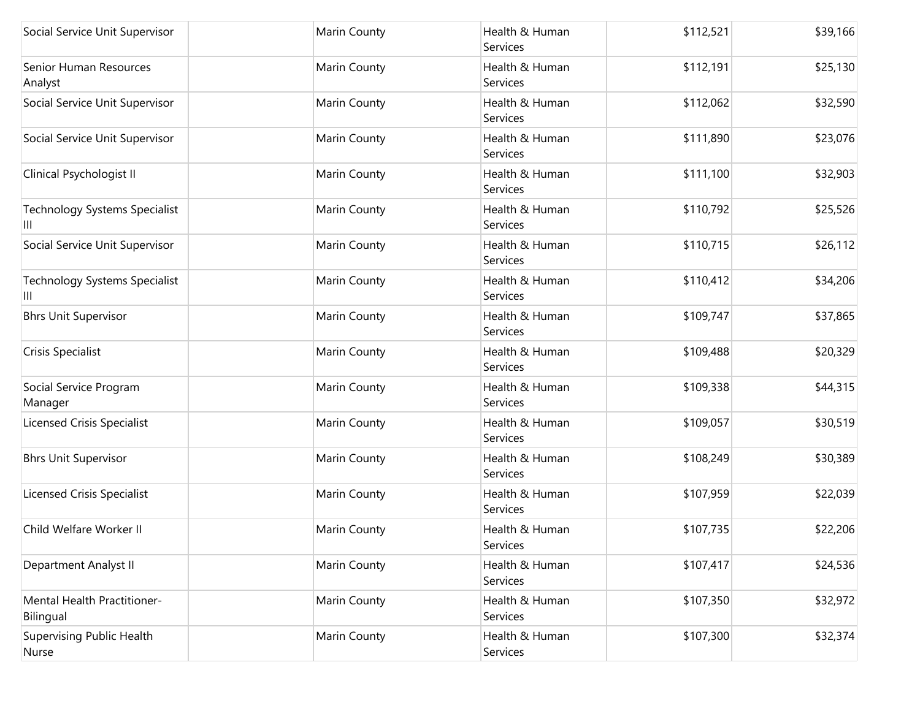| Social Service Unit Supervisor            | Marin County | Health & Human<br>Services        | \$112,521 | \$39,166 |
|-------------------------------------------|--------------|-----------------------------------|-----------|----------|
| Senior Human Resources<br>Analyst         | Marin County | Health & Human<br><b>Services</b> | \$112,191 | \$25,130 |
| Social Service Unit Supervisor            | Marin County | Health & Human<br>Services        | \$112,062 | \$32,590 |
| Social Service Unit Supervisor            | Marin County | Health & Human<br>Services        | \$111,890 | \$23,076 |
| Clinical Psychologist II                  | Marin County | Health & Human<br>Services        | \$111,100 | \$32,903 |
| <b>Technology Systems Specialist</b><br>Ш | Marin County | Health & Human<br>Services        | \$110,792 | \$25,526 |
| Social Service Unit Supervisor            | Marin County | Health & Human<br>Services        | \$110,715 | \$26,112 |
| <b>Technology Systems Specialist</b><br>Ш | Marin County | Health & Human<br>Services        | \$110,412 | \$34,206 |
| <b>Bhrs Unit Supervisor</b>               | Marin County | Health & Human<br>Services        | \$109,747 | \$37,865 |
| Crisis Specialist                         | Marin County | Health & Human<br>Services        | \$109,488 | \$20,329 |
| Social Service Program<br>Manager         | Marin County | Health & Human<br>Services        | \$109,338 | \$44,315 |
| <b>Licensed Crisis Specialist</b>         | Marin County | Health & Human<br>Services        | \$109,057 | \$30,519 |
| <b>Bhrs Unit Supervisor</b>               | Marin County | Health & Human<br>Services        | \$108,249 | \$30,389 |
| <b>Licensed Crisis Specialist</b>         | Marin County | Health & Human<br>Services        | \$107,959 | \$22,039 |
| Child Welfare Worker II                   | Marin County | Health & Human<br>Services        | \$107,735 | \$22,206 |
| Department Analyst II                     | Marin County | Health & Human<br>Services        | \$107,417 | \$24,536 |
| Mental Health Practitioner-<br>Bilingual  | Marin County | Health & Human<br>Services        | \$107,350 | \$32,972 |
| <b>Supervising Public Health</b><br>Nurse | Marin County | Health & Human<br>Services        | \$107,300 | \$32,374 |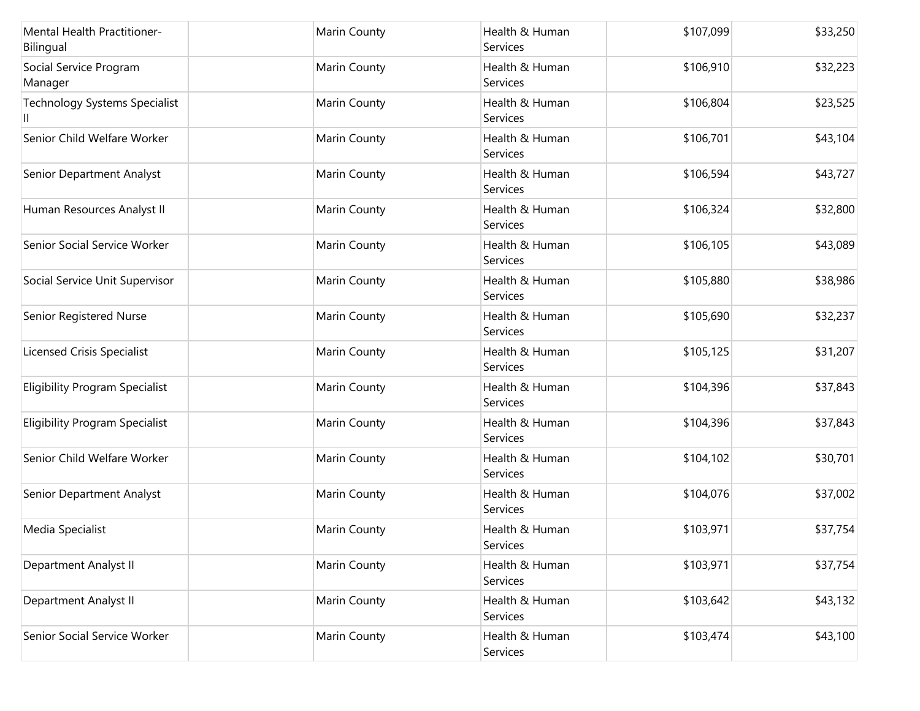| Mental Health Practitioner-<br>Bilingual | Marin County        | Health & Human<br>Services | \$107,099 | \$33,250 |
|------------------------------------------|---------------------|----------------------------|-----------|----------|
| Social Service Program<br>Manager        | <b>Marin County</b> | Health & Human<br>Services | \$106,910 | \$32,223 |
| <b>Technology Systems Specialist</b>     | Marin County        | Health & Human<br>Services | \$106,804 | \$23,525 |
| Senior Child Welfare Worker              | Marin County        | Health & Human<br>Services | \$106,701 | \$43,104 |
| Senior Department Analyst                | Marin County        | Health & Human<br>Services | \$106,594 | \$43,727 |
| Human Resources Analyst II               | Marin County        | Health & Human<br>Services | \$106,324 | \$32,800 |
| Senior Social Service Worker             | Marin County        | Health & Human<br>Services | \$106,105 | \$43,089 |
| Social Service Unit Supervisor           | Marin County        | Health & Human<br>Services | \$105,880 | \$38,986 |
| Senior Registered Nurse                  | Marin County        | Health & Human<br>Services | \$105,690 | \$32,237 |
| <b>Licensed Crisis Specialist</b>        | Marin County        | Health & Human<br>Services | \$105,125 | \$31,207 |
| <b>Eligibility Program Specialist</b>    | <b>Marin County</b> | Health & Human<br>Services | \$104,396 | \$37,843 |
| <b>Eligibility Program Specialist</b>    | Marin County        | Health & Human<br>Services | \$104,396 | \$37,843 |
| Senior Child Welfare Worker              | <b>Marin County</b> | Health & Human<br>Services | \$104,102 | \$30,701 |
| Senior Department Analyst                | Marin County        | Health & Human<br>Services | \$104,076 | \$37,002 |
| Media Specialist                         | Marin County        | Health & Human<br>Services | \$103,971 | \$37,754 |
| Department Analyst II                    | Marin County        | Health & Human<br>Services | \$103,971 | \$37,754 |
| Department Analyst II                    | Marin County        | Health & Human<br>Services | \$103,642 | \$43,132 |
| Senior Social Service Worker             | Marin County        | Health & Human<br>Services | \$103,474 | \$43,100 |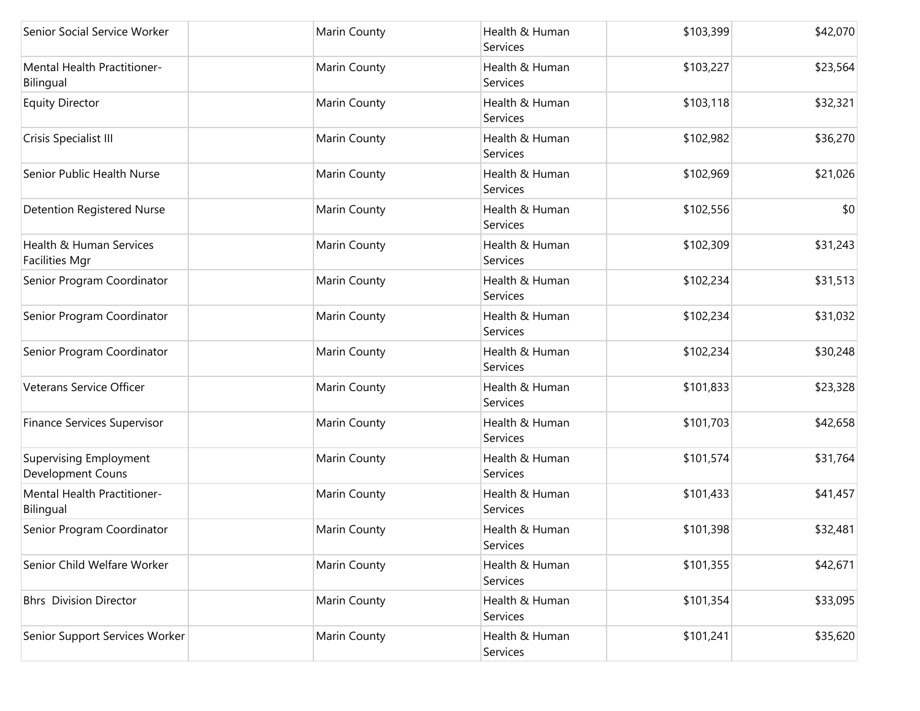| Senior Social Service Worker                       | Marin County | Health & Human<br>Services | \$103,399 | \$42,070 |
|----------------------------------------------------|--------------|----------------------------|-----------|----------|
| <b>Mental Health Practitioner-</b><br>Bilingual    | Marin County | Health & Human<br>Services | \$103,227 | \$23,564 |
| <b>Equity Director</b>                             | Marin County | Health & Human<br>Services | \$103,118 | \$32,321 |
| Crisis Specialist III                              | Marin County | Health & Human<br>Services | \$102,982 | \$36,270 |
| Senior Public Health Nurse                         | Marin County | Health & Human<br>Services | \$102,969 | \$21,026 |
| <b>Detention Registered Nurse</b>                  | Marin County | Health & Human<br>Services | \$102,556 | \$0      |
| Health & Human Services<br><b>Facilities Mgr</b>   | Marin County | Health & Human<br>Services | \$102,309 | \$31,243 |
| Senior Program Coordinator                         | Marin County | Health & Human<br>Services | \$102,234 | \$31,513 |
| Senior Program Coordinator                         | Marin County | Health & Human<br>Services | \$102,234 | \$31,032 |
| Senior Program Coordinator                         | Marin County | Health & Human<br>Services | \$102,234 | \$30,248 |
| Veterans Service Officer                           | Marin County | Health & Human<br>Services | \$101,833 | \$23,328 |
| Finance Services Supervisor                        | Marin County | Health & Human<br>Services | \$101,703 | \$42,658 |
| <b>Supervising Employment</b><br>Development Couns | Marin County | Health & Human<br>Services | \$101,574 | \$31,764 |
| Mental Health Practitioner-<br>Bilingual           | Marin County | Health & Human<br>Services | \$101,433 | \$41,457 |
| Senior Program Coordinator                         | Marin County | Health & Human<br>Services | \$101,398 | \$32,481 |
| Senior Child Welfare Worker                        | Marin County | Health & Human<br>Services | \$101,355 | \$42,671 |
| <b>Bhrs</b> Division Director                      | Marin County | Health & Human<br>Services | \$101,354 | \$33,095 |
| Senior Support Services Worker                     | Marin County | Health & Human<br>Services | \$101,241 | \$35,620 |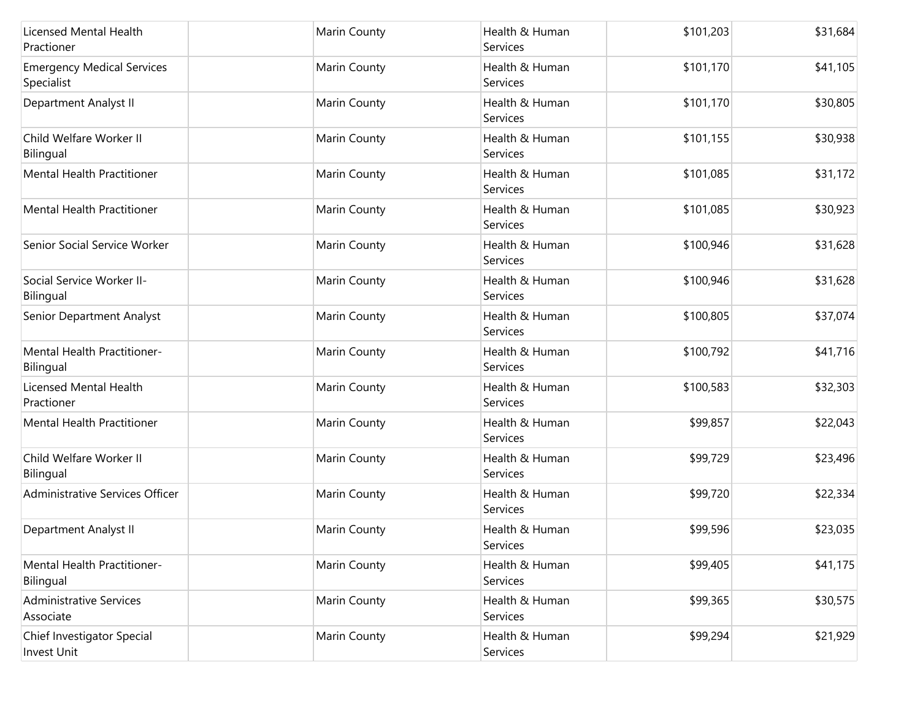| Licensed Mental Health<br>Practioner            | Marin County | Health & Human<br>Services | \$101,203 | \$31,684 |
|-------------------------------------------------|--------------|----------------------------|-----------|----------|
| <b>Emergency Medical Services</b><br>Specialist | Marin County | Health & Human<br>Services | \$101,170 | \$41,105 |
| Department Analyst II                           | Marin County | Health & Human<br>Services | \$101,170 | \$30,805 |
| Child Welfare Worker II<br>Bilingual            | Marin County | Health & Human<br>Services | \$101,155 | \$30,938 |
| <b>Mental Health Practitioner</b>               | Marin County | Health & Human<br>Services | \$101,085 | \$31,172 |
| Mental Health Practitioner                      | Marin County | Health & Human<br>Services | \$101,085 | \$30,923 |
| Senior Social Service Worker                    | Marin County | Health & Human<br>Services | \$100,946 | \$31,628 |
| Social Service Worker II-<br>Bilingual          | Marin County | Health & Human<br>Services | \$100,946 | \$31,628 |
| Senior Department Analyst                       | Marin County | Health & Human<br>Services | \$100,805 | \$37,074 |
| Mental Health Practitioner-<br>Bilingual        | Marin County | Health & Human<br>Services | \$100,792 | \$41,716 |
| Licensed Mental Health<br>Practioner            | Marin County | Health & Human<br>Services | \$100,583 | \$32,303 |
| <b>Mental Health Practitioner</b>               | Marin County | Health & Human<br>Services | \$99,857  | \$22,043 |
| Child Welfare Worker II<br>Bilingual            | Marin County | Health & Human<br>Services | \$99,729  | \$23,496 |
| Administrative Services Officer                 | Marin County | Health & Human<br>Services | \$99,720  | \$22,334 |
| Department Analyst II                           | Marin County | Health & Human<br>Services | \$99,596  | \$23,035 |
| Mental Health Practitioner-<br>Bilingual        | Marin County | Health & Human<br>Services | \$99,405  | \$41,175 |
| Administrative Services<br>Associate            | Marin County | Health & Human<br>Services | \$99,365  | \$30,575 |
| Chief Investigator Special<br>Invest Unit       | Marin County | Health & Human<br>Services | \$99,294  | \$21,929 |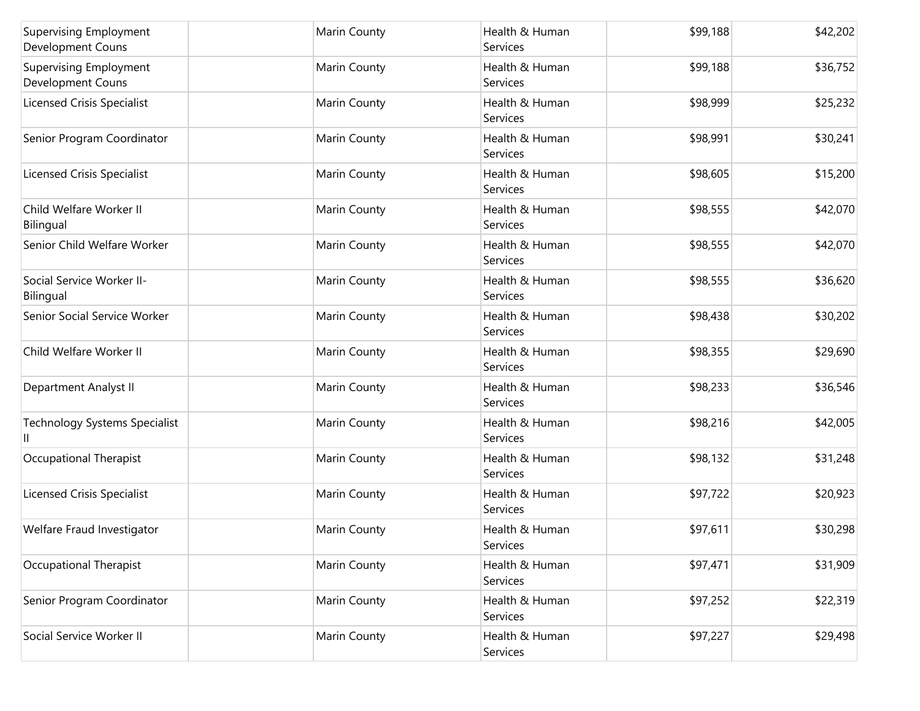| <b>Supervising Employment</b><br>Development Couns | Marin County | Health & Human<br>Services | \$99,188 | \$42,202 |
|----------------------------------------------------|--------------|----------------------------|----------|----------|
| <b>Supervising Employment</b><br>Development Couns | Marin County | Health & Human<br>Services | \$99,188 | \$36,752 |
| <b>Licensed Crisis Specialist</b>                  | Marin County | Health & Human<br>Services | \$98,999 | \$25,232 |
| Senior Program Coordinator                         | Marin County | Health & Human<br>Services | \$98,991 | \$30,241 |
| <b>Licensed Crisis Specialist</b>                  | Marin County | Health & Human<br>Services | \$98,605 | \$15,200 |
| Child Welfare Worker II<br>Bilingual               | Marin County | Health & Human<br>Services | \$98,555 | \$42,070 |
| Senior Child Welfare Worker                        | Marin County | Health & Human<br>Services | \$98,555 | \$42,070 |
| Social Service Worker II-<br>Bilingual             | Marin County | Health & Human<br>Services | \$98,555 | \$36,620 |
| Senior Social Service Worker                       | Marin County | Health & Human<br>Services | \$98,438 | \$30,202 |
| Child Welfare Worker II                            | Marin County | Health & Human<br>Services | \$98,355 | \$29,690 |
| Department Analyst II                              | Marin County | Health & Human<br>Services | \$98,233 | \$36,546 |
| Technology Systems Specialist<br>Ш                 | Marin County | Health & Human<br>Services | \$98,216 | \$42,005 |
| Occupational Therapist                             | Marin County | Health & Human<br>Services | \$98,132 | \$31,248 |
| <b>Licensed Crisis Specialist</b>                  | Marin County | Health & Human<br>Services | \$97,722 | \$20,923 |
| Welfare Fraud Investigator                         | Marin County | Health & Human<br>Services | \$97,611 | \$30,298 |
| Occupational Therapist                             | Marin County | Health & Human<br>Services | \$97,471 | \$31,909 |
| Senior Program Coordinator                         | Marin County | Health & Human<br>Services | \$97,252 | \$22,319 |
| Social Service Worker II                           | Marin County | Health & Human<br>Services | \$97,227 | \$29,498 |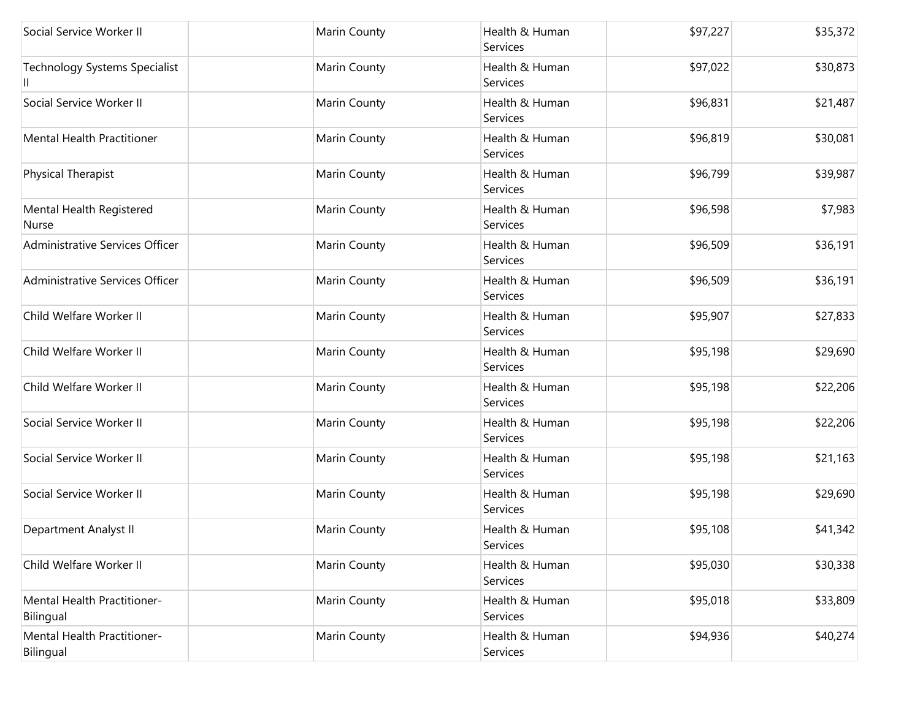| Social Service Worker II                        | Marin County | Health & Human<br>Services | \$97,227 | \$35,372 |
|-------------------------------------------------|--------------|----------------------------|----------|----------|
| <b>Technology Systems Specialist</b>            | Marin County | Health & Human<br>Services | \$97,022 | \$30,873 |
| Social Service Worker II                        | Marin County | Health & Human<br>Services | \$96,831 | \$21,487 |
| Mental Health Practitioner                      | Marin County | Health & Human<br>Services | \$96,819 | \$30,081 |
| <b>Physical Therapist</b>                       | Marin County | Health & Human<br>Services | \$96,799 | \$39,987 |
| Mental Health Registered<br>Nurse               | Marin County | Health & Human<br>Services | \$96,598 | \$7,983  |
| Administrative Services Officer                 | Marin County | Health & Human<br>Services | \$96,509 | \$36,191 |
| Administrative Services Officer                 | Marin County | Health & Human<br>Services | \$96,509 | \$36,191 |
| Child Welfare Worker II                         | Marin County | Health & Human<br>Services | \$95,907 | \$27,833 |
| Child Welfare Worker II                         | Marin County | Health & Human<br>Services | \$95,198 | \$29,690 |
| Child Welfare Worker II                         | Marin County | Health & Human<br>Services | \$95,198 | \$22,206 |
| Social Service Worker II                        | Marin County | Health & Human<br>Services | \$95,198 | \$22,206 |
| Social Service Worker II                        | Marin County | Health & Human<br>Services | \$95,198 | \$21,163 |
| Social Service Worker II                        | Marin County | Health & Human<br>Services | \$95,198 | \$29,690 |
| Department Analyst II                           | Marin County | Health & Human<br>Services | \$95,108 | \$41,342 |
| Child Welfare Worker II                         | Marin County | Health & Human<br>Services | \$95,030 | \$30,338 |
| <b>Mental Health Practitioner-</b><br>Bilingual | Marin County | Health & Human<br>Services | \$95,018 | \$33,809 |
| Mental Health Practitioner-<br>Bilingual        | Marin County | Health & Human<br>Services | \$94,936 | \$40,274 |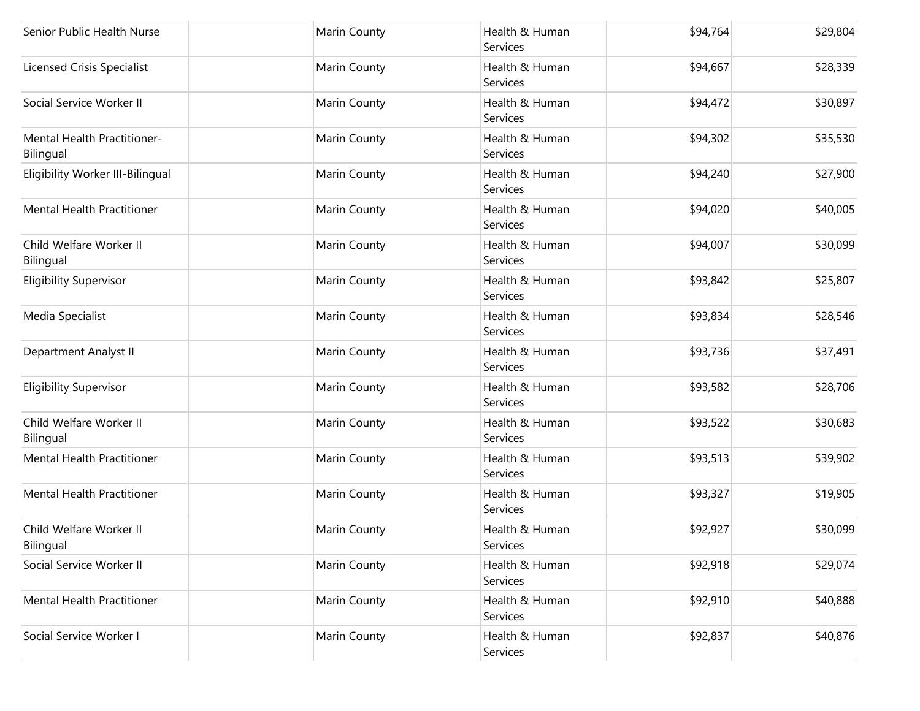| Senior Public Health Nurse               | Marin County | Health & Human<br>Services | \$94,764 | \$29,804 |
|------------------------------------------|--------------|----------------------------|----------|----------|
| <b>Licensed Crisis Specialist</b>        | Marin County | Health & Human<br>Services | \$94,667 | \$28,339 |
| Social Service Worker II                 | Marin County | Health & Human<br>Services | \$94,472 | \$30,897 |
| Mental Health Practitioner-<br>Bilingual | Marin County | Health & Human<br>Services | \$94,302 | \$35,530 |
| Eligibility Worker III-Bilingual         | Marin County | Health & Human<br>Services | \$94,240 | \$27,900 |
| <b>Mental Health Practitioner</b>        | Marin County | Health & Human<br>Services | \$94,020 | \$40,005 |
| Child Welfare Worker II<br>Bilingual     | Marin County | Health & Human<br>Services | \$94,007 | \$30,099 |
| <b>Eligibility Supervisor</b>            | Marin County | Health & Human<br>Services | \$93,842 | \$25,807 |
| Media Specialist                         | Marin County | Health & Human<br>Services | \$93,834 | \$28,546 |
| Department Analyst II                    | Marin County | Health & Human<br>Services | \$93,736 | \$37,491 |
| <b>Eligibility Supervisor</b>            | Marin County | Health & Human<br>Services | \$93,582 | \$28,706 |
| Child Welfare Worker II<br>Bilingual     | Marin County | Health & Human<br>Services | \$93,522 | \$30,683 |
| <b>Mental Health Practitioner</b>        | Marin County | Health & Human<br>Services | \$93,513 | \$39,902 |
| Mental Health Practitioner               | Marin County | Health & Human<br>Services | \$93,327 | \$19,905 |
| Child Welfare Worker II<br>Bilingual     | Marin County | Health & Human<br>Services | \$92,927 | \$30,099 |
| Social Service Worker II                 | Marin County | Health & Human<br>Services | \$92,918 | \$29,074 |
| <b>Mental Health Practitioner</b>        | Marin County | Health & Human<br>Services | \$92,910 | \$40,888 |
| Social Service Worker I                  | Marin County | Health & Human<br>Services | \$92,837 | \$40,876 |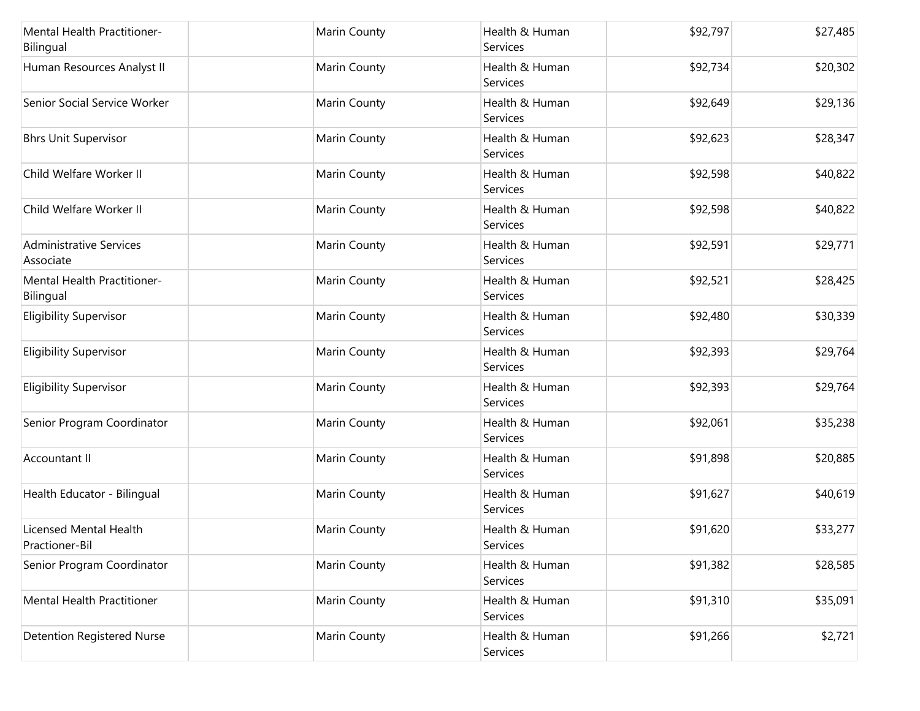| Mental Health Practitioner-<br>Bilingual        | Marin County        | Health & Human<br>Services | \$92,797 | \$27,485 |
|-------------------------------------------------|---------------------|----------------------------|----------|----------|
| Human Resources Analyst II                      | Marin County        | Health & Human<br>Services | \$92,734 | \$20,302 |
| Senior Social Service Worker                    | Marin County        | Health & Human<br>Services | \$92,649 | \$29,136 |
| <b>Bhrs Unit Supervisor</b>                     | Marin County        | Health & Human<br>Services | \$92,623 | \$28,347 |
| Child Welfare Worker II                         | Marin County        | Health & Human<br>Services | \$92,598 | \$40,822 |
| Child Welfare Worker II                         | Marin County        | Health & Human<br>Services | \$92,598 | \$40,822 |
| Administrative Services<br>Associate            | Marin County        | Health & Human<br>Services | \$92,591 | \$29,771 |
| <b>Mental Health Practitioner-</b><br>Bilingual | Marin County        | Health & Human<br>Services | \$92,521 | \$28,425 |
| <b>Eligibility Supervisor</b>                   | Marin County        | Health & Human<br>Services | \$92,480 | \$30,339 |
| <b>Eligibility Supervisor</b>                   | Marin County        | Health & Human<br>Services | \$92,393 | \$29,764 |
| <b>Eligibility Supervisor</b>                   | <b>Marin County</b> | Health & Human<br>Services | \$92,393 | \$29,764 |
| Senior Program Coordinator                      | Marin County        | Health & Human<br>Services | \$92,061 | \$35,238 |
| Accountant II                                   | Marin County        | Health & Human<br>Services | \$91,898 | \$20,885 |
| Health Educator - Bilingual                     | Marin County        | Health & Human<br>Services | \$91,627 | \$40,619 |
| Licensed Mental Health<br>Practioner-Bil        | Marin County        | Health & Human<br>Services | \$91,620 | \$33,277 |
| Senior Program Coordinator                      | Marin County        | Health & Human<br>Services | \$91,382 | \$28,585 |
| <b>Mental Health Practitioner</b>               | Marin County        | Health & Human<br>Services | \$91,310 | \$35,091 |
| <b>Detention Registered Nurse</b>               | Marin County        | Health & Human<br>Services | \$91,266 | \$2,721  |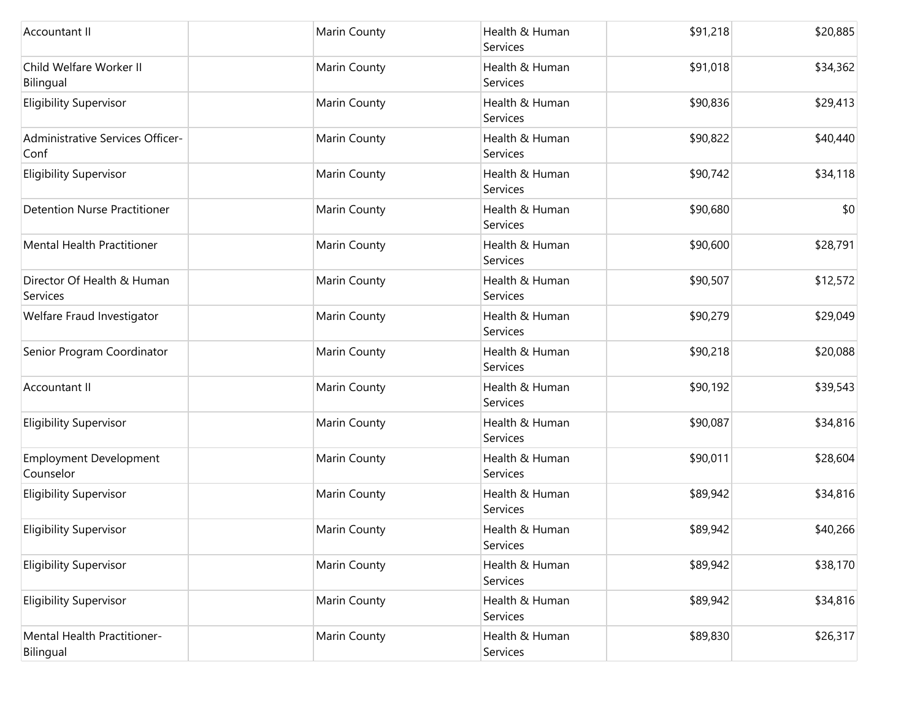| Accountant II                              | Marin County | Health & Human<br>Services | \$91,218 | \$20,885 |
|--------------------------------------------|--------------|----------------------------|----------|----------|
| Child Welfare Worker II<br>Bilingual       | Marin County | Health & Human<br>Services | \$91,018 | \$34,362 |
| <b>Eligibility Supervisor</b>              | Marin County | Health & Human<br>Services | \$90,836 | \$29,413 |
| Administrative Services Officer-<br>Conf   | Marin County | Health & Human<br>Services | \$90,822 | \$40,440 |
| <b>Eligibility Supervisor</b>              | Marin County | Health & Human<br>Services | \$90,742 | \$34,118 |
| <b>Detention Nurse Practitioner</b>        | Marin County | Health & Human<br>Services | \$90,680 | \$0      |
| Mental Health Practitioner                 | Marin County | Health & Human<br>Services | \$90,600 | \$28,791 |
| Director Of Health & Human<br>Services     | Marin County | Health & Human<br>Services | \$90,507 | \$12,572 |
| Welfare Fraud Investigator                 | Marin County | Health & Human<br>Services | \$90,279 | \$29,049 |
| Senior Program Coordinator                 | Marin County | Health & Human<br>Services | \$90,218 | \$20,088 |
| Accountant II                              | Marin County | Health & Human<br>Services | \$90,192 | \$39,543 |
| <b>Eligibility Supervisor</b>              | Marin County | Health & Human<br>Services | \$90,087 | \$34,816 |
| <b>Employment Development</b><br>Counselor | Marin County | Health & Human<br>Services | \$90,011 | \$28,604 |
| <b>Eligibility Supervisor</b>              | Marin County | Health & Human<br>Services | \$89,942 | \$34,816 |
| <b>Eligibility Supervisor</b>              | Marin County | Health & Human<br>Services | \$89,942 | \$40,266 |
| <b>Eligibility Supervisor</b>              | Marin County | Health & Human<br>Services | \$89,942 | \$38,170 |
| <b>Eligibility Supervisor</b>              | Marin County | Health & Human<br>Services | \$89,942 | \$34,816 |
| Mental Health Practitioner-<br>Bilingual   | Marin County | Health & Human<br>Services | \$89,830 | \$26,317 |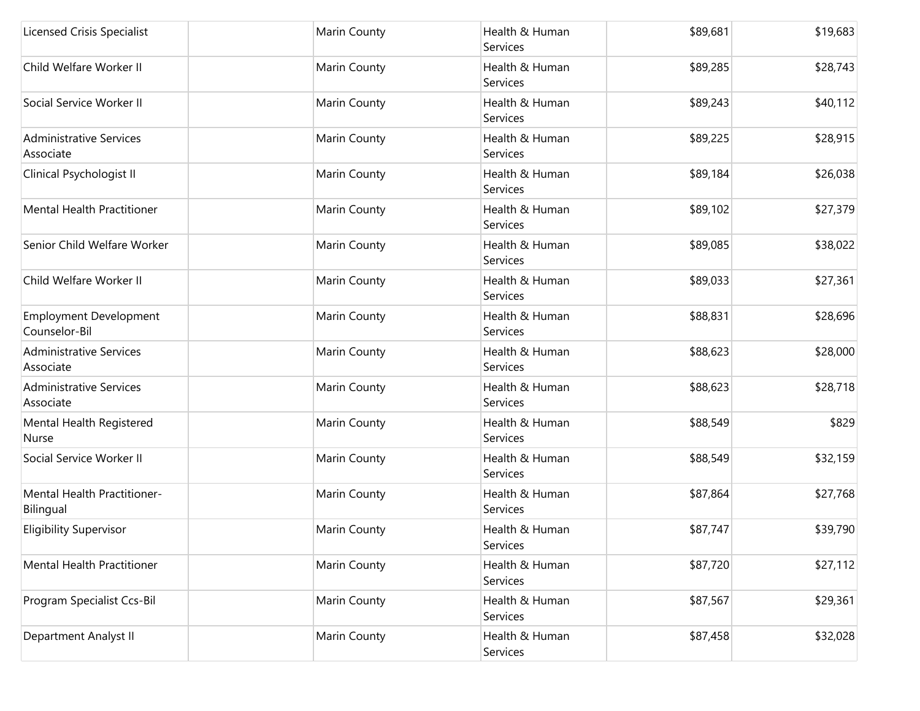| <b>Licensed Crisis Specialist</b>              | Marin County | Health & Human<br>Services        | \$89,681 | \$19,683 |
|------------------------------------------------|--------------|-----------------------------------|----------|----------|
| Child Welfare Worker II                        | Marin County | Health & Human<br>Services        | \$89,285 | \$28,743 |
| Social Service Worker II                       | Marin County | Health & Human<br>Services        | \$89,243 | \$40,112 |
| <b>Administrative Services</b><br>Associate    | Marin County | Health & Human<br>Services        | \$89,225 | \$28,915 |
| Clinical Psychologist II                       | Marin County | Health & Human<br>Services        | \$89,184 | \$26,038 |
| Mental Health Practitioner                     | Marin County | Health & Human<br>Services        | \$89,102 | \$27,379 |
| Senior Child Welfare Worker                    | Marin County | Health & Human<br><b>Services</b> | \$89,085 | \$38,022 |
| Child Welfare Worker II                        | Marin County | Health & Human<br>Services        | \$89,033 | \$27,361 |
| <b>Employment Development</b><br>Counselor-Bil | Marin County | Health & Human<br>Services        | \$88,831 | \$28,696 |
| <b>Administrative Services</b><br>Associate    | Marin County | Health & Human<br>Services        | \$88,623 | \$28,000 |
| <b>Administrative Services</b><br>Associate    | Marin County | Health & Human<br>Services        | \$88,623 | \$28,718 |
| Mental Health Registered<br>Nurse              | Marin County | Health & Human<br>Services        | \$88,549 | \$829    |
| Social Service Worker II                       | Marin County | Health & Human<br>Services        | \$88,549 | \$32,159 |
| Mental Health Practitioner-<br>Bilingual       | Marin County | Health & Human<br>Services        | \$87,864 | \$27,768 |
| <b>Eligibility Supervisor</b>                  | Marin County | Health & Human<br>Services        | \$87,747 | \$39,790 |
| Mental Health Practitioner                     | Marin County | Health & Human<br>Services        | \$87,720 | \$27,112 |
| Program Specialist Ccs-Bil                     | Marin County | Health & Human<br>Services        | \$87,567 | \$29,361 |
| Department Analyst II                          | Marin County | Health & Human<br>Services        | \$87,458 | \$32,028 |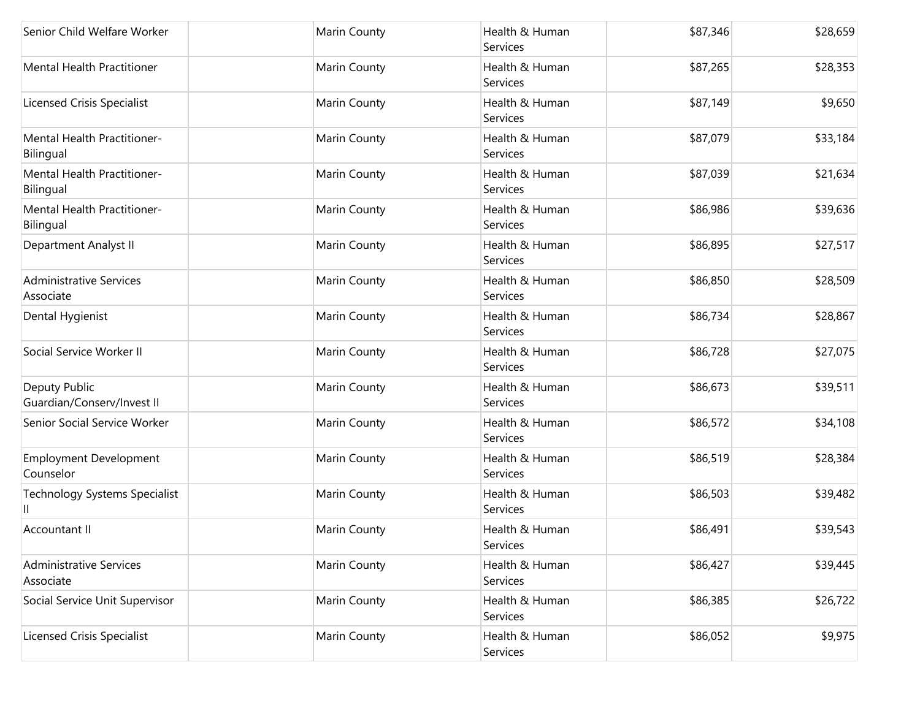| Senior Child Welfare Worker                 | Marin County | Health & Human<br>Services | \$87,346 | \$28,659 |
|---------------------------------------------|--------------|----------------------------|----------|----------|
| <b>Mental Health Practitioner</b>           | Marin County | Health & Human<br>Services | \$87,265 | \$28,353 |
| <b>Licensed Crisis Specialist</b>           | Marin County | Health & Human<br>Services | \$87,149 | \$9,650  |
| Mental Health Practitioner-<br>Bilingual    | Marin County | Health & Human<br>Services | \$87,079 | \$33,184 |
| Mental Health Practitioner-<br>Bilingual    | Marin County | Health & Human<br>Services | \$87,039 | \$21,634 |
| Mental Health Practitioner-<br>Bilingual    | Marin County | Health & Human<br>Services | \$86,986 | \$39,636 |
| Department Analyst II                       | Marin County | Health & Human<br>Services | \$86,895 | \$27,517 |
| <b>Administrative Services</b><br>Associate | Marin County | Health & Human<br>Services | \$86,850 | \$28,509 |
| Dental Hygienist                            | Marin County | Health & Human<br>Services | \$86,734 | \$28,867 |
| Social Service Worker II                    | Marin County | Health & Human<br>Services | \$86,728 | \$27,075 |
| Deputy Public<br>Guardian/Conserv/Invest II | Marin County | Health & Human<br>Services | \$86,673 | \$39,511 |
| Senior Social Service Worker                | Marin County | Health & Human<br>Services | \$86,572 | \$34,108 |
| <b>Employment Development</b><br>Counselor  | Marin County | Health & Human<br>Services | \$86,519 | \$28,384 |
| <b>Technology Systems Specialist</b><br>Ш   | Marin County | Health & Human<br>Services | \$86,503 | \$39,482 |
| Accountant II                               | Marin County | Health & Human<br>Services | \$86,491 | \$39,543 |
| <b>Administrative Services</b><br>Associate | Marin County | Health & Human<br>Services | \$86,427 | \$39,445 |
| Social Service Unit Supervisor              | Marin County | Health & Human<br>Services | \$86,385 | \$26,722 |
| <b>Licensed Crisis Specialist</b>           | Marin County | Health & Human<br>Services | \$86,052 | \$9,975  |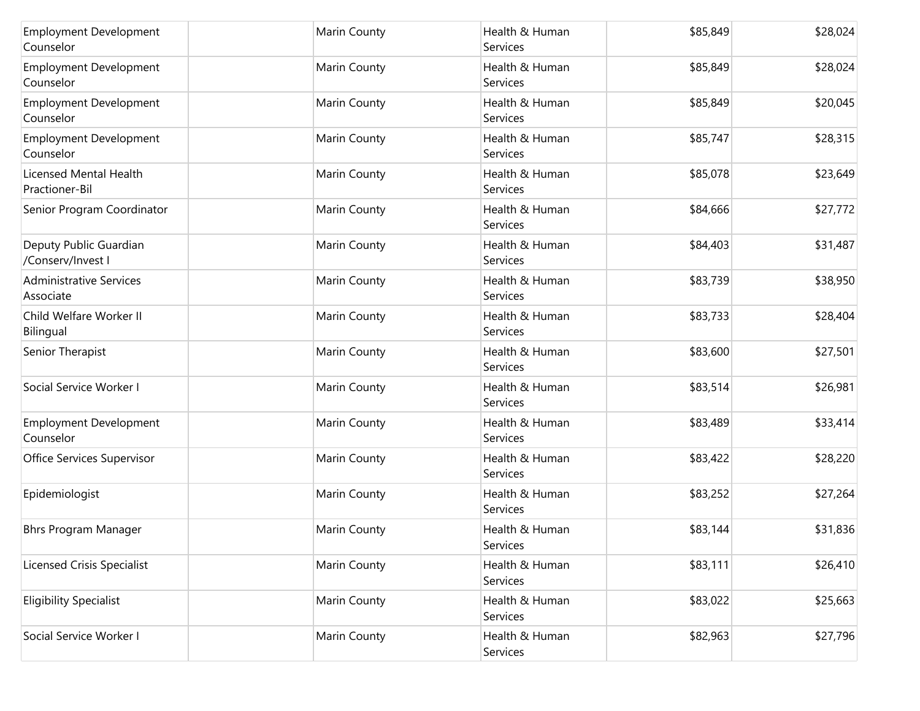| <b>Employment Development</b><br>Counselor  | Marin County        | Health & Human<br>Services | \$85,849 | \$28,024 |
|---------------------------------------------|---------------------|----------------------------|----------|----------|
| <b>Employment Development</b><br>Counselor  | <b>Marin County</b> | Health & Human<br>Services | \$85,849 | \$28,024 |
| <b>Employment Development</b><br>Counselor  | Marin County        | Health & Human<br>Services | \$85,849 | \$20,045 |
| <b>Employment Development</b><br>Counselor  | Marin County        | Health & Human<br>Services | \$85,747 | \$28,315 |
| Licensed Mental Health<br>Practioner-Bil    | Marin County        | Health & Human<br>Services | \$85,078 | \$23,649 |
| Senior Program Coordinator                  | Marin County        | Health & Human<br>Services | \$84,666 | \$27,772 |
| Deputy Public Guardian<br>/Conserv/Invest I | Marin County        | Health & Human<br>Services | \$84,403 | \$31,487 |
| <b>Administrative Services</b><br>Associate | Marin County        | Health & Human<br>Services | \$83,739 | \$38,950 |
| Child Welfare Worker II<br>Bilingual        | Marin County        | Health & Human<br>Services | \$83,733 | \$28,404 |
| Senior Therapist                            | Marin County        | Health & Human<br>Services | \$83,600 | \$27,501 |
| Social Service Worker I                     | <b>Marin County</b> | Health & Human<br>Services | \$83,514 | \$26,981 |
| <b>Employment Development</b><br>Counselor  | Marin County        | Health & Human<br>Services | \$83,489 | \$33,414 |
| Office Services Supervisor                  | Marin County        | Health & Human<br>Services | \$83,422 | \$28,220 |
| Epidemiologist                              | Marin County        | Health & Human<br>Services | \$83,252 | \$27,264 |
| <b>Bhrs Program Manager</b>                 | Marin County        | Health & Human<br>Services | \$83,144 | \$31,836 |
| <b>Licensed Crisis Specialist</b>           | Marin County        | Health & Human<br>Services | \$83,111 | \$26,410 |
| <b>Eligibility Specialist</b>               | Marin County        | Health & Human<br>Services | \$83,022 | \$25,663 |
| Social Service Worker I                     | Marin County        | Health & Human<br>Services | \$82,963 | \$27,796 |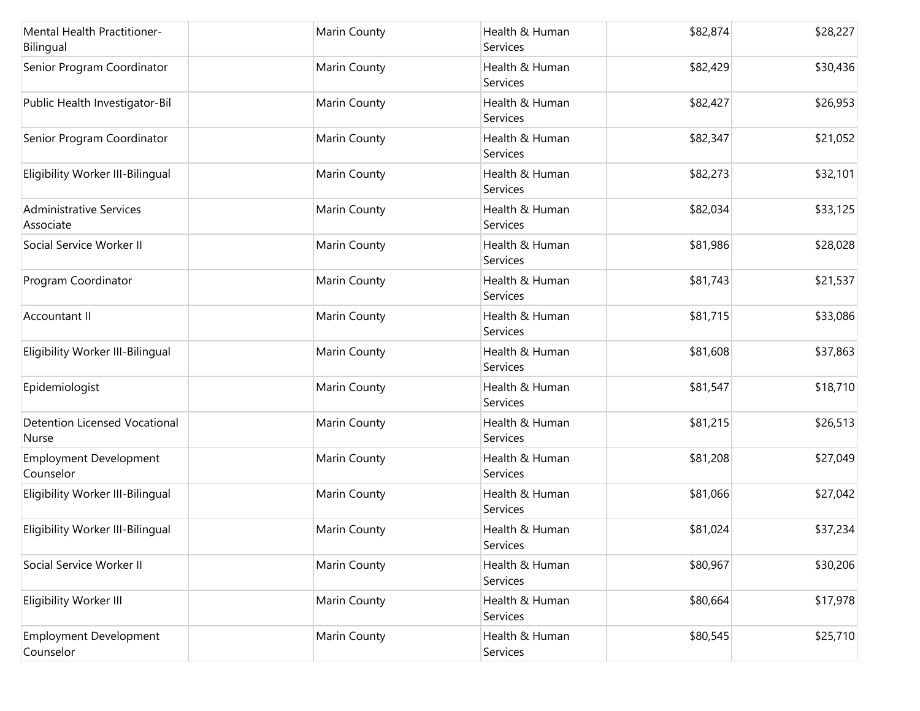| Mental Health Practitioner-<br>Bilingual      | Marin County        | Health & Human<br>Services | \$82,874 | \$28,227 |
|-----------------------------------------------|---------------------|----------------------------|----------|----------|
| Senior Program Coordinator                    | <b>Marin County</b> | Health & Human<br>Services | \$82,429 | \$30,436 |
| Public Health Investigator-Bil                | Marin County        | Health & Human<br>Services | \$82,427 | \$26,953 |
| Senior Program Coordinator                    | Marin County        | Health & Human<br>Services | \$82,347 | \$21,052 |
| Eligibility Worker III-Bilingual              | Marin County        | Health & Human<br>Services | \$82,273 | \$32,101 |
| <b>Administrative Services</b><br>Associate   | Marin County        | Health & Human<br>Services | \$82,034 | \$33,125 |
| Social Service Worker II                      | Marin County        | Health & Human<br>Services | \$81,986 | \$28,028 |
| Program Coordinator                           | Marin County        | Health & Human<br>Services | \$81,743 | \$21,537 |
| Accountant II                                 | Marin County        | Health & Human<br>Services | \$81,715 | \$33,086 |
| Eligibility Worker III-Bilingual              | Marin County        | Health & Human<br>Services | \$81,608 | \$37,863 |
| Epidemiologist                                | <b>Marin County</b> | Health & Human<br>Services | \$81,547 | \$18,710 |
| <b>Detention Licensed Vocational</b><br>Nurse | Marin County        | Health & Human<br>Services | \$81,215 | \$26,513 |
| <b>Employment Development</b><br>Counselor    | <b>Marin County</b> | Health & Human<br>Services | \$81,208 | \$27,049 |
| Eligibility Worker III-Bilingual              | Marin County        | Health & Human<br>Services | \$81,066 | \$27,042 |
| Eligibility Worker III-Bilingual              | Marin County        | Health & Human<br>Services | \$81,024 | \$37,234 |
| Social Service Worker II                      | Marin County        | Health & Human<br>Services | \$80,967 | \$30,206 |
| Eligibility Worker III                        | Marin County        | Health & Human<br>Services | \$80,664 | \$17,978 |
| <b>Employment Development</b><br>Counselor    | Marin County        | Health & Human<br>Services | \$80,545 | \$25,710 |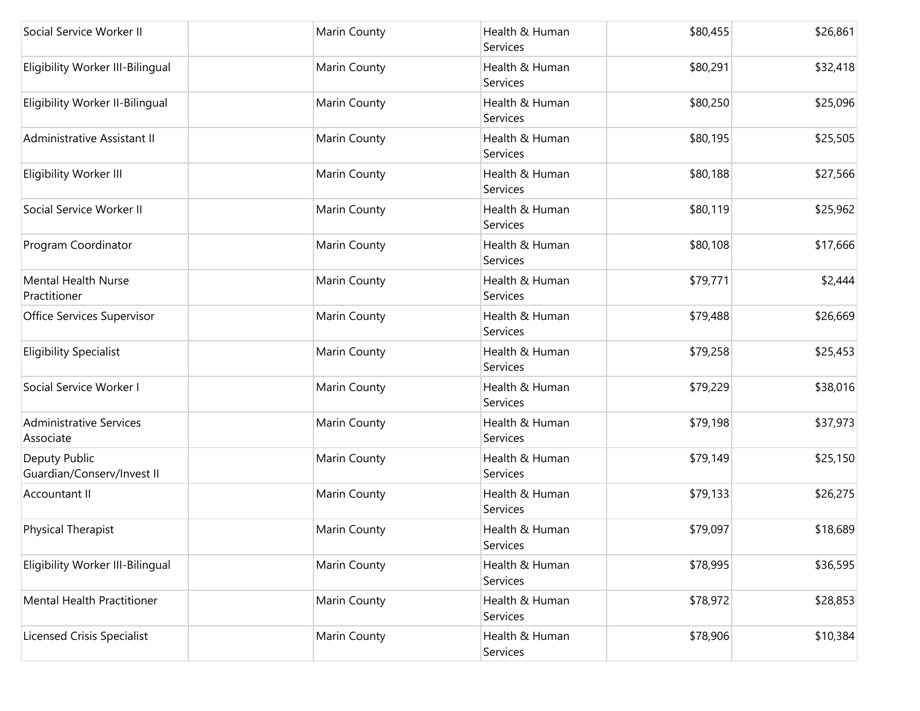| Social Service Worker II                    | Marin County | Health & Human<br>Services | \$80,455 | \$26,861 |
|---------------------------------------------|--------------|----------------------------|----------|----------|
| Eligibility Worker III-Bilingual            | Marin County | Health & Human<br>Services | \$80,291 | \$32,418 |
| Eligibility Worker II-Bilingual             | Marin County | Health & Human<br>Services | \$80,250 | \$25,096 |
| Administrative Assistant II                 | Marin County | Health & Human<br>Services | \$80,195 | \$25,505 |
| Eligibility Worker III                      | Marin County | Health & Human<br>Services | \$80,188 | \$27,566 |
| Social Service Worker II                    | Marin County | Health & Human<br>Services | \$80,119 | \$25,962 |
| Program Coordinator                         | Marin County | Health & Human<br>Services | \$80,108 | \$17,666 |
| Mental Health Nurse<br>Practitioner         | Marin County | Health & Human<br>Services | \$79,771 | \$2,444  |
| Office Services Supervisor                  | Marin County | Health & Human<br>Services | \$79,488 | \$26,669 |
| <b>Eligibility Specialist</b>               | Marin County | Health & Human<br>Services | \$79,258 | \$25,453 |
| Social Service Worker I                     | Marin County | Health & Human<br>Services | \$79,229 | \$38,016 |
| <b>Administrative Services</b><br>Associate | Marin County | Health & Human<br>Services | \$79,198 | \$37,973 |
| Deputy Public<br>Guardian/Conserv/Invest II | Marin County | Health & Human<br>Services | \$79,149 | \$25,150 |
| <b>Accountant II</b>                        | Marin County | Health & Human<br>Services | \$79,133 | \$26,275 |
| <b>Physical Therapist</b>                   | Marin County | Health & Human<br>Services | \$79,097 | \$18,689 |
| Eligibility Worker III-Bilingual            | Marin County | Health & Human<br>Services | \$78,995 | \$36,595 |
| Mental Health Practitioner                  | Marin County | Health & Human<br>Services | \$78,972 | \$28,853 |
| <b>Licensed Crisis Specialist</b>           | Marin County | Health & Human<br>Services | \$78,906 | \$10,384 |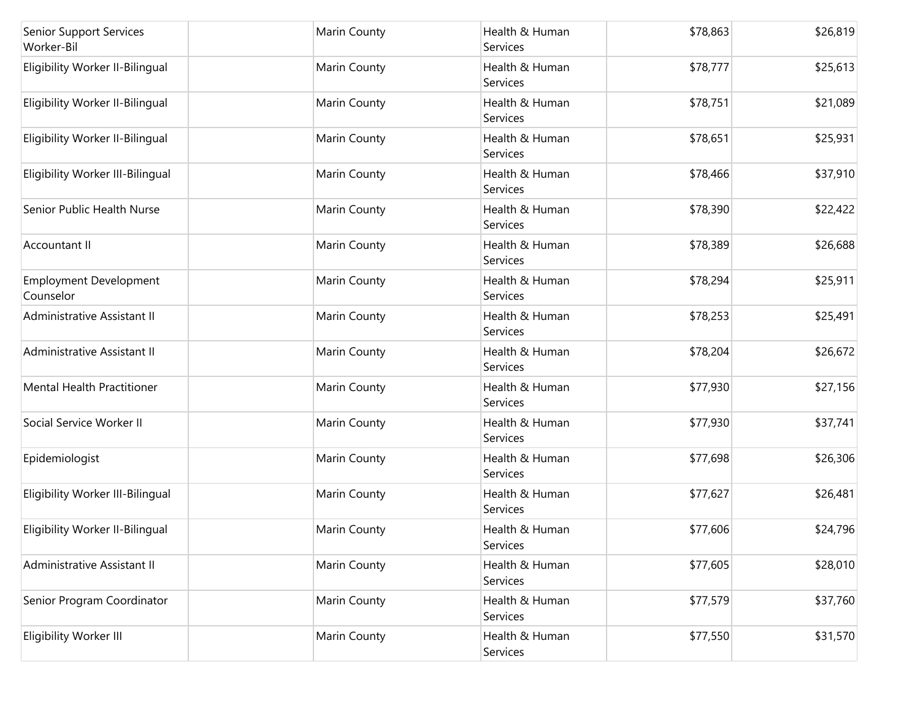| <b>Senior Support Services</b><br>Worker-Bil | Marin County        | Health & Human<br>Services | \$78,863 | \$26,819 |
|----------------------------------------------|---------------------|----------------------------|----------|----------|
| Eligibility Worker II-Bilingual              | <b>Marin County</b> | Health & Human<br>Services | \$78,777 | \$25,613 |
| Eligibility Worker II-Bilingual              | Marin County        | Health & Human<br>Services | \$78,751 | \$21,089 |
| Eligibility Worker II-Bilingual              | Marin County        | Health & Human<br>Services | \$78,651 | \$25,931 |
| Eligibility Worker III-Bilingual             | Marin County        | Health & Human<br>Services | \$78,466 | \$37,910 |
| Senior Public Health Nurse                   | <b>Marin County</b> | Health & Human<br>Services | \$78,390 | \$22,422 |
| Accountant II                                | Marin County        | Health & Human<br>Services | \$78,389 | \$26,688 |
| <b>Employment Development</b><br>Counselor   | Marin County        | Health & Human<br>Services | \$78,294 | \$25,911 |
| Administrative Assistant II                  | Marin County        | Health & Human<br>Services | \$78,253 | \$25,491 |
| Administrative Assistant II                  | Marin County        | Health & Human<br>Services | \$78,204 | \$26,672 |
| Mental Health Practitioner                   | <b>Marin County</b> | Health & Human<br>Services | \$77,930 | \$27,156 |
| Social Service Worker II                     | Marin County        | Health & Human<br>Services | \$77,930 | \$37,741 |
| Epidemiologist                               | <b>Marin County</b> | Health & Human<br>Services | \$77,698 | \$26,306 |
| Eligibility Worker III-Bilingual             | Marin County        | Health & Human<br>Services | \$77,627 | \$26,481 |
| Eligibility Worker II-Bilingual              | Marin County        | Health & Human<br>Services | \$77,606 | \$24,796 |
| Administrative Assistant II                  | Marin County        | Health & Human<br>Services | \$77,605 | \$28,010 |
| Senior Program Coordinator                   | Marin County        | Health & Human<br>Services | \$77,579 | \$37,760 |
| Eligibility Worker III                       | Marin County        | Health & Human<br>Services | \$77,550 | \$31,570 |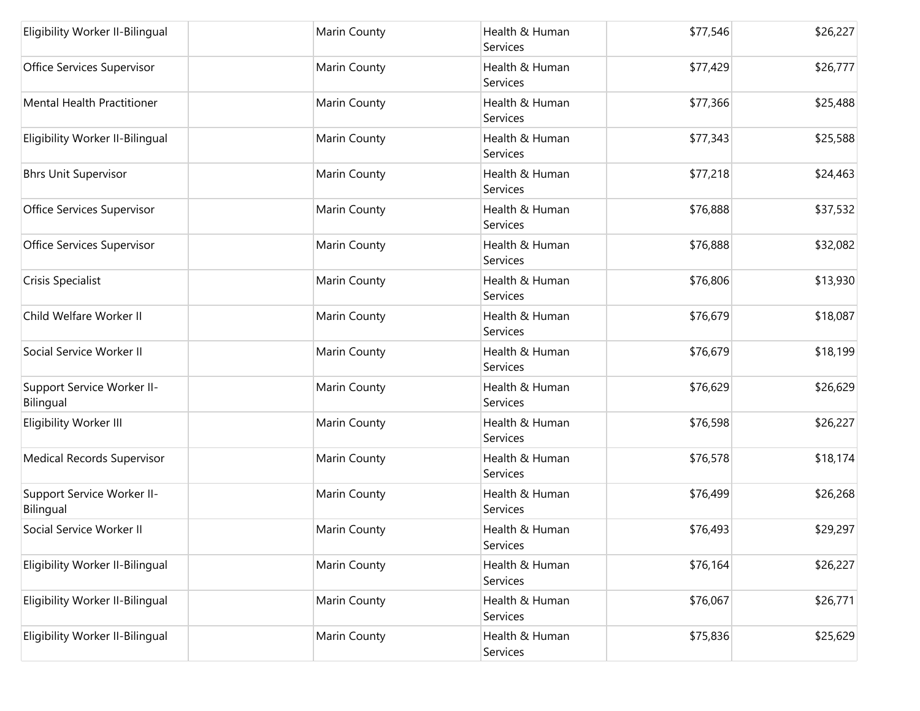| Eligibility Worker II-Bilingual         | Marin County | Health & Human<br>Services | \$77,546 | \$26,227 |
|-----------------------------------------|--------------|----------------------------|----------|----------|
| Office Services Supervisor              | Marin County | Health & Human<br>Services | \$77,429 | \$26,777 |
| <b>Mental Health Practitioner</b>       | Marin County | Health & Human<br>Services | \$77,366 | \$25,488 |
| Eligibility Worker II-Bilingual         | Marin County | Health & Human<br>Services | \$77,343 | \$25,588 |
| <b>Bhrs Unit Supervisor</b>             | Marin County | Health & Human<br>Services | \$77,218 | \$24,463 |
| Office Services Supervisor              | Marin County | Health & Human<br>Services | \$76,888 | \$37,532 |
| Office Services Supervisor              | Marin County | Health & Human<br>Services | \$76,888 | \$32,082 |
| Crisis Specialist                       | Marin County | Health & Human<br>Services | \$76,806 | \$13,930 |
| Child Welfare Worker II                 | Marin County | Health & Human<br>Services | \$76,679 | \$18,087 |
| Social Service Worker II                | Marin County | Health & Human<br>Services | \$76,679 | \$18,199 |
| Support Service Worker II-<br>Bilingual | Marin County | Health & Human<br>Services | \$76,629 | \$26,629 |
| Eligibility Worker III                  | Marin County | Health & Human<br>Services | \$76,598 | \$26,227 |
| <b>Medical Records Supervisor</b>       | Marin County | Health & Human<br>Services | \$76,578 | \$18,174 |
| Support Service Worker II-<br>Bilingual | Marin County | Health & Human<br>Services | \$76,499 | \$26,268 |
| Social Service Worker II                | Marin County | Health & Human<br>Services | \$76,493 | \$29,297 |
| Eligibility Worker II-Bilingual         | Marin County | Health & Human<br>Services | \$76,164 | \$26,227 |
| Eligibility Worker II-Bilingual         | Marin County | Health & Human<br>Services | \$76,067 | \$26,771 |
| Eligibility Worker II-Bilingual         | Marin County | Health & Human<br>Services | \$75,836 | \$25,629 |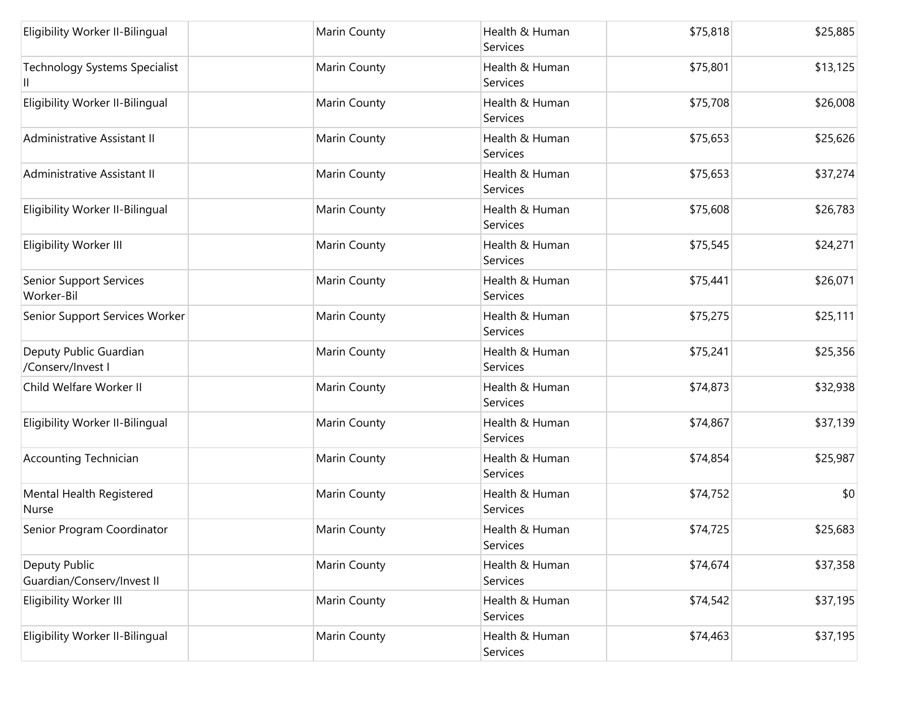| Eligibility Worker II-Bilingual             | Marin County | Health & Human<br>Services | \$75,818 | \$25,885 |
|---------------------------------------------|--------------|----------------------------|----------|----------|
| <b>Technology Systems Specialist</b><br>Ш   | Marin County | Health & Human<br>Services | \$75,801 | \$13,125 |
| Eligibility Worker II-Bilingual             | Marin County | Health & Human<br>Services | \$75,708 | \$26,008 |
| Administrative Assistant II                 | Marin County | Health & Human<br>Services | \$75,653 | \$25,626 |
| Administrative Assistant II                 | Marin County | Health & Human<br>Services | \$75,653 | \$37,274 |
| Eligibility Worker II-Bilingual             | Marin County | Health & Human<br>Services | \$75,608 | \$26,783 |
| Eligibility Worker III                      | Marin County | Health & Human<br>Services | \$75,545 | \$24,271 |
| Senior Support Services<br>Worker-Bil       | Marin County | Health & Human<br>Services | \$75,441 | \$26,071 |
| Senior Support Services Worker              | Marin County | Health & Human<br>Services | \$75,275 | \$25,111 |
| Deputy Public Guardian<br>/Conserv/Invest I | Marin County | Health & Human<br>Services | \$75,241 | \$25,356 |
| Child Welfare Worker II                     | Marin County | Health & Human<br>Services | \$74,873 | \$32,938 |
| Eligibility Worker II-Bilingual             | Marin County | Health & Human<br>Services | \$74,867 | \$37,139 |
| <b>Accounting Technician</b>                | Marin County | Health & Human<br>Services | \$74,854 | \$25,987 |
| Mental Health Registered<br>Nurse           | Marin County | Health & Human<br>Services | \$74,752 | \$0      |
| Senior Program Coordinator                  | Marin County | Health & Human<br>Services | \$74,725 | \$25,683 |
| Deputy Public<br>Guardian/Conserv/Invest II | Marin County | Health & Human<br>Services | \$74,674 | \$37,358 |
| Eligibility Worker III                      | Marin County | Health & Human<br>Services | \$74,542 | \$37,195 |
| Eligibility Worker II-Bilingual             | Marin County | Health & Human<br>Services | \$74,463 | \$37,195 |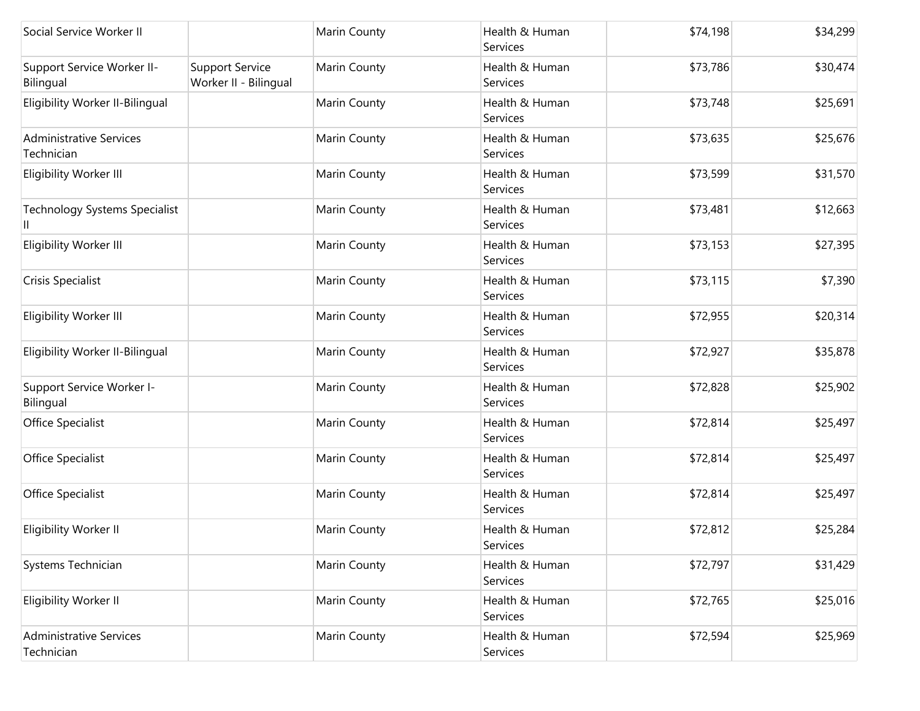| Social Service Worker II                     |                                                 | Marin County | Health & Human<br>Services | \$74,198 | \$34,299 |
|----------------------------------------------|-------------------------------------------------|--------------|----------------------------|----------|----------|
| Support Service Worker II-<br>Bilingual      | <b>Support Service</b><br>Worker II - Bilingual | Marin County | Health & Human<br>Services | \$73,786 | \$30,474 |
| Eligibility Worker II-Bilingual              |                                                 | Marin County | Health & Human<br>Services | \$73,748 | \$25,691 |
| <b>Administrative Services</b><br>Technician |                                                 | Marin County | Health & Human<br>Services | \$73,635 | \$25,676 |
| Eligibility Worker III                       |                                                 | Marin County | Health & Human<br>Services | \$73,599 | \$31,570 |
| <b>Technology Systems Specialist</b>         |                                                 | Marin County | Health & Human<br>Services | \$73,481 | \$12,663 |
| Eligibility Worker III                       |                                                 | Marin County | Health & Human<br>Services | \$73,153 | \$27,395 |
| Crisis Specialist                            |                                                 | Marin County | Health & Human<br>Services | \$73,115 | \$7,390  |
| Eligibility Worker III                       |                                                 | Marin County | Health & Human<br>Services | \$72,955 | \$20,314 |
| Eligibility Worker II-Bilingual              |                                                 | Marin County | Health & Human<br>Services | \$72,927 | \$35,878 |
| Support Service Worker I-<br>Bilingual       |                                                 | Marin County | Health & Human<br>Services | \$72,828 | \$25,902 |
| Office Specialist                            |                                                 | Marin County | Health & Human<br>Services | \$72,814 | \$25,497 |
| Office Specialist                            |                                                 | Marin County | Health & Human<br>Services | \$72,814 | \$25,497 |
| Office Specialist                            |                                                 | Marin County | Health & Human<br>Services | \$72,814 | \$25,497 |
| Eligibility Worker II                        |                                                 | Marin County | Health & Human<br>Services | \$72,812 | \$25,284 |
| Systems Technician                           |                                                 | Marin County | Health & Human<br>Services | \$72,797 | \$31,429 |
| Eligibility Worker II                        |                                                 | Marin County | Health & Human<br>Services | \$72,765 | \$25,016 |
| Administrative Services<br>Technician        |                                                 | Marin County | Health & Human<br>Services | \$72,594 | \$25,969 |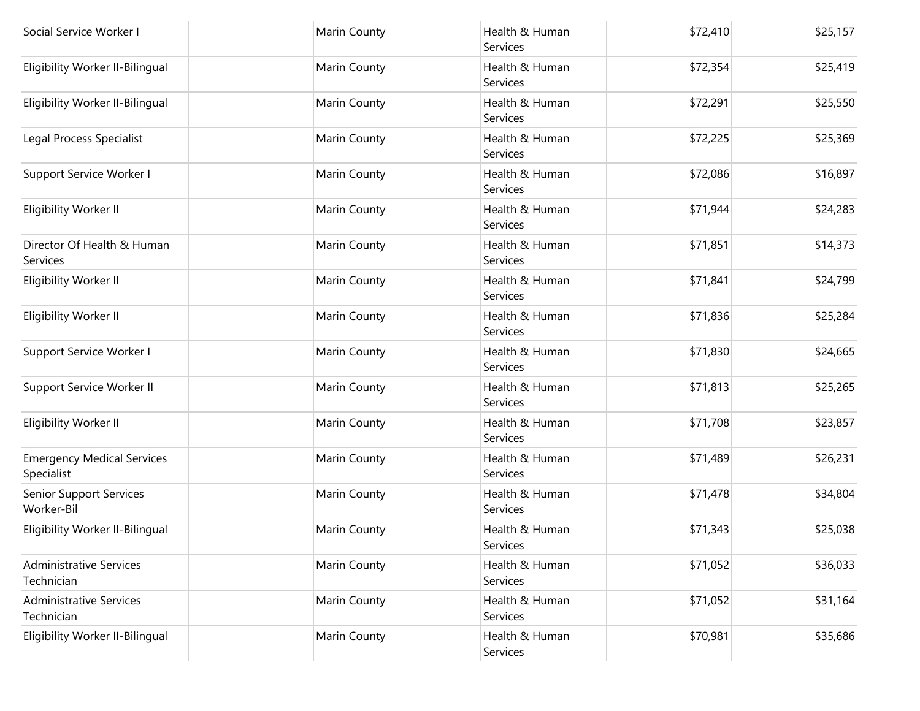| Social Service Worker I                         | Marin County | Health & Human<br>Services        | \$72,410 | \$25,157 |
|-------------------------------------------------|--------------|-----------------------------------|----------|----------|
| Eligibility Worker II-Bilingual                 | Marin County | Health & Human<br>Services        | \$72,354 | \$25,419 |
| Eligibility Worker II-Bilingual                 | Marin County | Health & Human<br>Services        | \$72,291 | \$25,550 |
| Legal Process Specialist                        | Marin County | Health & Human<br>Services        | \$72,225 | \$25,369 |
| Support Service Worker I                        | Marin County | Health & Human<br>Services        | \$72,086 | \$16,897 |
| Eligibility Worker II                           | Marin County | Health & Human<br>Services        | \$71,944 | \$24,283 |
| Director Of Health & Human<br>Services          | Marin County | Health & Human<br>Services        | \$71,851 | \$14,373 |
| Eligibility Worker II                           | Marin County | Health & Human<br>Services        | \$71,841 | \$24,799 |
| Eligibility Worker II                           | Marin County | Health & Human<br>Services        | \$71,836 | \$25,284 |
| Support Service Worker I                        | Marin County | Health & Human<br>Services        | \$71,830 | \$24,665 |
| Support Service Worker II                       | Marin County | Health & Human<br>Services        | \$71,813 | \$25,265 |
| Eligibility Worker II                           | Marin County | Health & Human<br>Services        | \$71,708 | \$23,857 |
| <b>Emergency Medical Services</b><br>Specialist | Marin County | Health & Human<br><b>Services</b> | \$71,489 | \$26,231 |
| Senior Support Services<br>Worker-Bil           | Marin County | Health & Human<br>Services        | \$71,478 | \$34,804 |
| Eligibility Worker II-Bilingual                 | Marin County | Health & Human<br>Services        | \$71,343 | \$25,038 |
| <b>Administrative Services</b><br>Technician    | Marin County | Health & Human<br>Services        | \$71,052 | \$36,033 |
| <b>Administrative Services</b><br>Technician    | Marin County | Health & Human<br>Services        | \$71,052 | \$31,164 |
| Eligibility Worker II-Bilingual                 | Marin County | Health & Human<br>Services        | \$70,981 | \$35,686 |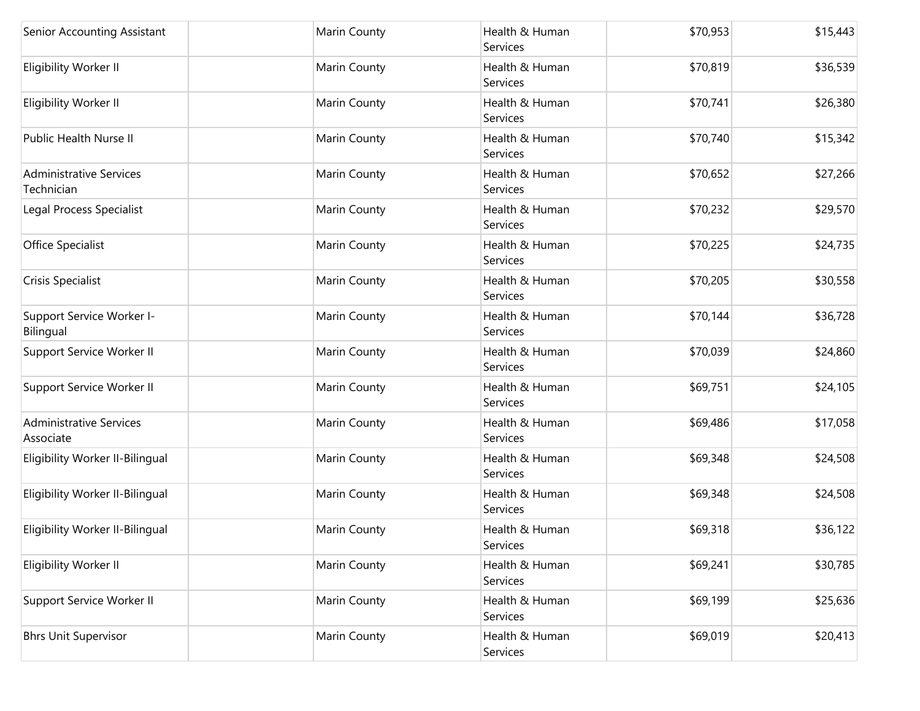| Senior Accounting Assistant                  | Marin County | Health & Human<br>Services | \$70,953 | \$15,443 |
|----------------------------------------------|--------------|----------------------------|----------|----------|
| Eligibility Worker II                        | Marin County | Health & Human<br>Services | \$70,819 | \$36,539 |
| Eligibility Worker II                        | Marin County | Health & Human<br>Services | \$70,741 | \$26,380 |
| Public Health Nurse II                       | Marin County | Health & Human<br>Services | \$70,740 | \$15,342 |
| <b>Administrative Services</b><br>Technician | Marin County | Health & Human<br>Services | \$70,652 | \$27,266 |
| Legal Process Specialist                     | Marin County | Health & Human<br>Services | \$70,232 | \$29,570 |
| Office Specialist                            | Marin County | Health & Human<br>Services | \$70,225 | \$24,735 |
| Crisis Specialist                            | Marin County | Health & Human<br>Services | \$70,205 | \$30,558 |
| Support Service Worker I-<br>Bilingual       | Marin County | Health & Human<br>Services | \$70,144 | \$36,728 |
| Support Service Worker II                    | Marin County | Health & Human<br>Services | \$70,039 | \$24,860 |
| Support Service Worker II                    | Marin County | Health & Human<br>Services | \$69,751 | \$24,105 |
| <b>Administrative Services</b><br>Associate  | Marin County | Health & Human<br>Services | \$69,486 | \$17,058 |
| Eligibility Worker II-Bilingual              | Marin County | Health & Human<br>Services | \$69,348 | \$24,508 |
| Eligibility Worker II-Bilingual              | Marin County | Health & Human<br>Services | \$69,348 | \$24,508 |
| Eligibility Worker II-Bilingual              | Marin County | Health & Human<br>Services | \$69,318 | \$36,122 |
| Eligibility Worker II                        | Marin County | Health & Human<br>Services | \$69,241 | \$30,785 |
| Support Service Worker II                    | Marin County | Health & Human<br>Services | \$69,199 | \$25,636 |
| <b>Bhrs Unit Supervisor</b>                  | Marin County | Health & Human<br>Services | \$69,019 | \$20,413 |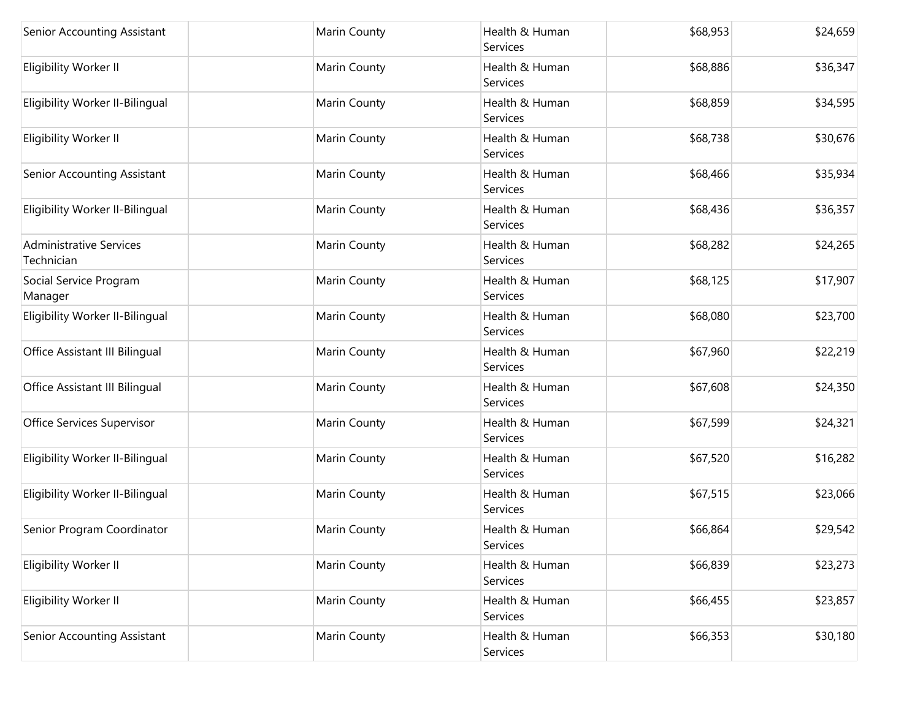| Senior Accounting Assistant                  | Marin County | Health & Human<br>Services | \$68,953 | \$24,659 |
|----------------------------------------------|--------------|----------------------------|----------|----------|
| Eligibility Worker II                        | Marin County | Health & Human<br>Services | \$68,886 | \$36,347 |
| Eligibility Worker II-Bilingual              | Marin County | Health & Human<br>Services | \$68,859 | \$34,595 |
| Eligibility Worker II                        | Marin County | Health & Human<br>Services | \$68,738 | \$30,676 |
| Senior Accounting Assistant                  | Marin County | Health & Human<br>Services | \$68,466 | \$35,934 |
| Eligibility Worker II-Bilingual              | Marin County | Health & Human<br>Services | \$68,436 | \$36,357 |
| <b>Administrative Services</b><br>Technician | Marin County | Health & Human<br>Services | \$68,282 | \$24,265 |
| Social Service Program<br>Manager            | Marin County | Health & Human<br>Services | \$68,125 | \$17,907 |
| Eligibility Worker II-Bilingual              | Marin County | Health & Human<br>Services | \$68,080 | \$23,700 |
| Office Assistant III Bilingual               | Marin County | Health & Human<br>Services | \$67,960 | \$22,219 |
| Office Assistant III Bilingual               | Marin County | Health & Human<br>Services | \$67,608 | \$24,350 |
| Office Services Supervisor                   | Marin County | Health & Human<br>Services | \$67,599 | \$24,321 |
| Eligibility Worker II-Bilingual              | Marin County | Health & Human<br>Services | \$67,520 | \$16,282 |
| Eligibility Worker II-Bilingual              | Marin County | Health & Human<br>Services | \$67,515 | \$23,066 |
| Senior Program Coordinator                   | Marin County | Health & Human<br>Services | \$66,864 | \$29,542 |
| Eligibility Worker II                        | Marin County | Health & Human<br>Services | \$66,839 | \$23,273 |
| Eligibility Worker II                        | Marin County | Health & Human<br>Services | \$66,455 | \$23,857 |
| Senior Accounting Assistant                  | Marin County | Health & Human<br>Services | \$66,353 | \$30,180 |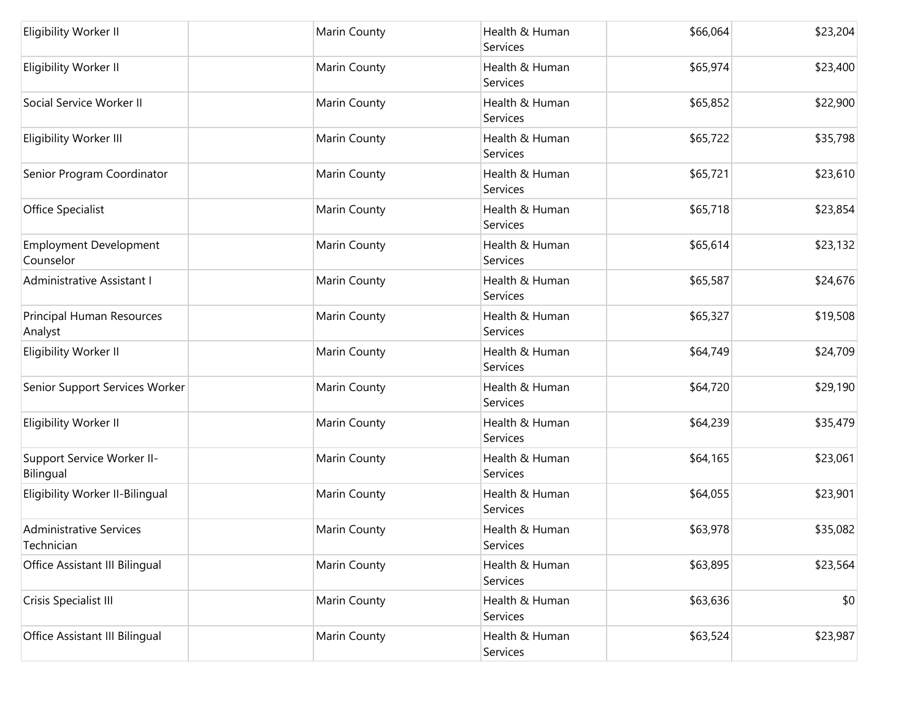| Eligibility Worker II                        | Marin County | Health & Human<br>Services | \$66,064 | \$23,204 |
|----------------------------------------------|--------------|----------------------------|----------|----------|
| Eligibility Worker II                        | Marin County | Health & Human<br>Services | \$65,974 | \$23,400 |
| Social Service Worker II                     | Marin County | Health & Human<br>Services | \$65,852 | \$22,900 |
| Eligibility Worker III                       | Marin County | Health & Human<br>Services | \$65,722 | \$35,798 |
| Senior Program Coordinator                   | Marin County | Health & Human<br>Services | \$65,721 | \$23,610 |
| Office Specialist                            | Marin County | Health & Human<br>Services | \$65,718 | \$23,854 |
| <b>Employment Development</b><br>Counselor   | Marin County | Health & Human<br>Services | \$65,614 | \$23,132 |
| Administrative Assistant I                   | Marin County | Health & Human<br>Services | \$65,587 | \$24,676 |
| Principal Human Resources<br>Analyst         | Marin County | Health & Human<br>Services | \$65,327 | \$19,508 |
| Eligibility Worker II                        | Marin County | Health & Human<br>Services | \$64,749 | \$24,709 |
| Senior Support Services Worker               | Marin County | Health & Human<br>Services | \$64,720 | \$29,190 |
| Eligibility Worker II                        | Marin County | Health & Human<br>Services | \$64,239 | \$35,479 |
| Support Service Worker II-<br>Bilingual      | Marin County | Health & Human<br>Services | \$64,165 | \$23,061 |
| Eligibility Worker II-Bilingual              | Marin County | Health & Human<br>Services | \$64,055 | \$23,901 |
| <b>Administrative Services</b><br>Technician | Marin County | Health & Human<br>Services | \$63,978 | \$35,082 |
| Office Assistant III Bilingual               | Marin County | Health & Human<br>Services | \$63,895 | \$23,564 |
| Crisis Specialist III                        | Marin County | Health & Human<br>Services | \$63,636 | \$0      |
| Office Assistant III Bilingual               | Marin County | Health & Human<br>Services | \$63,524 | \$23,987 |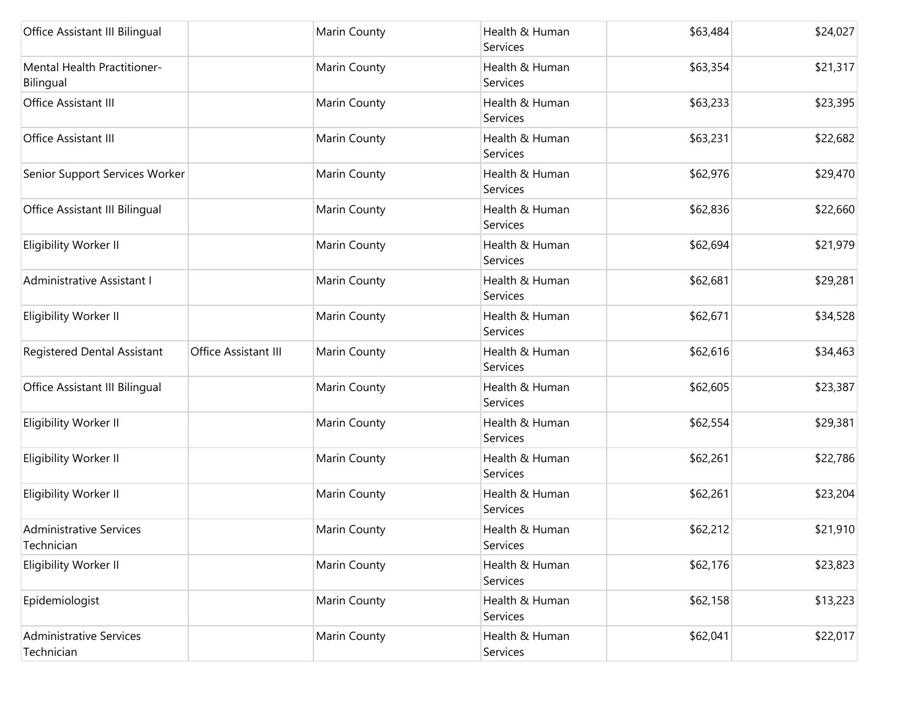| Office Assistant III Bilingual               |                      | Marin County | Health & Human<br>Services | \$63,484 | \$24,027 |
|----------------------------------------------|----------------------|--------------|----------------------------|----------|----------|
| Mental Health Practitioner-<br>Bilingual     |                      | Marin County | Health & Human<br>Services | \$63,354 | \$21,317 |
| Office Assistant III                         |                      | Marin County | Health & Human<br>Services | \$63,233 | \$23,395 |
| Office Assistant III                         |                      | Marin County | Health & Human<br>Services | \$63,231 | \$22,682 |
| Senior Support Services Worker               |                      | Marin County | Health & Human<br>Services | \$62,976 | \$29,470 |
| Office Assistant III Bilingual               |                      | Marin County | Health & Human<br>Services | \$62,836 | \$22,660 |
| Eligibility Worker II                        |                      | Marin County | Health & Human<br>Services | \$62,694 | \$21,979 |
| Administrative Assistant I                   |                      | Marin County | Health & Human<br>Services | \$62,681 | \$29,281 |
| Eligibility Worker II                        |                      | Marin County | Health & Human<br>Services | \$62,671 | \$34,528 |
| Registered Dental Assistant                  | Office Assistant III | Marin County | Health & Human<br>Services | \$62,616 | \$34,463 |
| Office Assistant III Bilingual               |                      | Marin County | Health & Human<br>Services | \$62,605 | \$23,387 |
| Eligibility Worker II                        |                      | Marin County | Health & Human<br>Services | \$62,554 | \$29,381 |
| Eligibility Worker II                        |                      | Marin County | Health & Human<br>Services | \$62,261 | \$22,786 |
| Eligibility Worker II                        |                      | Marin County | Health & Human<br>Services | \$62,261 | \$23,204 |
| <b>Administrative Services</b><br>Technician |                      | Marin County | Health & Human<br>Services | \$62,212 | \$21,910 |
| Eligibility Worker II                        |                      | Marin County | Health & Human<br>Services | \$62,176 | \$23,823 |
| Epidemiologist                               |                      | Marin County | Health & Human<br>Services | \$62,158 | \$13,223 |
| <b>Administrative Services</b><br>Technician |                      | Marin County | Health & Human<br>Services | \$62,041 | \$22,017 |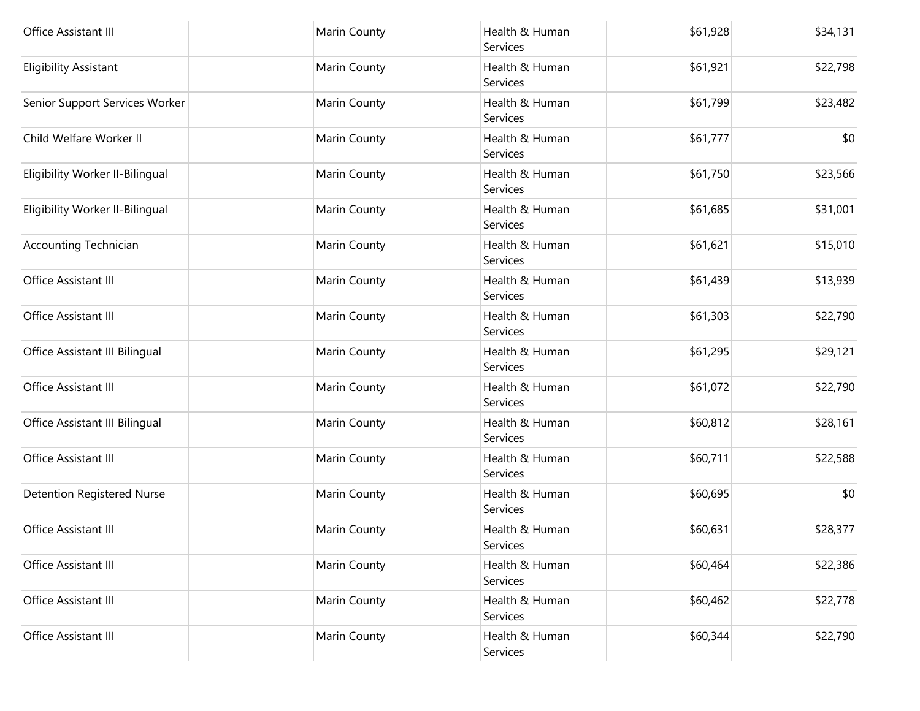| Office Assistant III              | Marin County | Health & Human<br>Services | \$61,928 | \$34,131 |
|-----------------------------------|--------------|----------------------------|----------|----------|
| <b>Eligibility Assistant</b>      | Marin County | Health & Human<br>Services | \$61,921 | \$22,798 |
| Senior Support Services Worker    | Marin County | Health & Human<br>Services | \$61,799 | \$23,482 |
| Child Welfare Worker II           | Marin County | Health & Human<br>Services | \$61,777 | \$0      |
| Eligibility Worker II-Bilingual   | Marin County | Health & Human<br>Services | \$61,750 | \$23,566 |
| Eligibility Worker II-Bilingual   | Marin County | Health & Human<br>Services | \$61,685 | \$31,001 |
| <b>Accounting Technician</b>      | Marin County | Health & Human<br>Services | \$61,621 | \$15,010 |
| Office Assistant III              | Marin County | Health & Human<br>Services | \$61,439 | \$13,939 |
| Office Assistant III              | Marin County | Health & Human<br>Services | \$61,303 | \$22,790 |
| Office Assistant III Bilingual    | Marin County | Health & Human<br>Services | \$61,295 | \$29,121 |
| Office Assistant III              | Marin County | Health & Human<br>Services | \$61,072 | \$22,790 |
| Office Assistant III Bilingual    | Marin County | Health & Human<br>Services | \$60,812 | \$28,161 |
| Office Assistant III              | Marin County | Health & Human<br>Services | \$60,711 | \$22,588 |
| <b>Detention Registered Nurse</b> | Marin County | Health & Human<br>Services | \$60,695 | \$0      |
| Office Assistant III              | Marin County | Health & Human<br>Services | \$60,631 | \$28,377 |
| Office Assistant III              | Marin County | Health & Human<br>Services | \$60,464 | \$22,386 |
| Office Assistant III              | Marin County | Health & Human<br>Services | \$60,462 | \$22,778 |
| Office Assistant III              | Marin County | Health & Human<br>Services | \$60,344 | \$22,790 |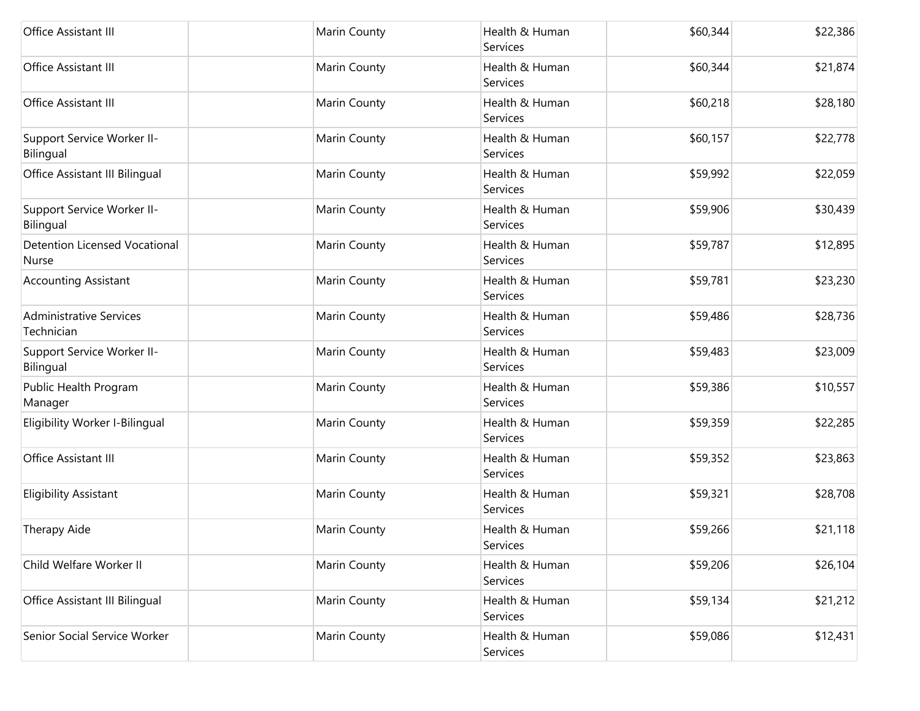| Office Assistant III                                 | Marin County | Health & Human<br>Services | \$60,344 | \$22,386 |
|------------------------------------------------------|--------------|----------------------------|----------|----------|
| Office Assistant III                                 | Marin County | Health & Human<br>Services | \$60,344 | \$21,874 |
| Office Assistant III                                 | Marin County | Health & Human<br>Services | \$60,218 | \$28,180 |
| Support Service Worker II-<br>Bilingual              | Marin County | Health & Human<br>Services | \$60,157 | \$22,778 |
| Office Assistant III Bilingual                       | Marin County | Health & Human<br>Services | \$59,992 | \$22,059 |
| Support Service Worker II-<br>Bilingual              | Marin County | Health & Human<br>Services | \$59,906 | \$30,439 |
| <b>Detention Licensed Vocational</b><br><b>Nurse</b> | Marin County | Health & Human<br>Services | \$59,787 | \$12,895 |
| <b>Accounting Assistant</b>                          | Marin County | Health & Human<br>Services | \$59,781 | \$23,230 |
| <b>Administrative Services</b><br>Technician         | Marin County | Health & Human<br>Services | \$59,486 | \$28,736 |
| Support Service Worker II-<br>Bilingual              | Marin County | Health & Human<br>Services | \$59,483 | \$23,009 |
| Public Health Program<br>Manager                     | Marin County | Health & Human<br>Services | \$59,386 | \$10,557 |
| Eligibility Worker I-Bilingual                       | Marin County | Health & Human<br>Services | \$59,359 | \$22,285 |
| Office Assistant III                                 | Marin County | Health & Human<br>Services | \$59,352 | \$23,863 |
| <b>Eligibility Assistant</b>                         | Marin County | Health & Human<br>Services | \$59,321 | \$28,708 |
| Therapy Aide                                         | Marin County | Health & Human<br>Services | \$59,266 | \$21,118 |
| Child Welfare Worker II                              | Marin County | Health & Human<br>Services | \$59,206 | \$26,104 |
| Office Assistant III Bilingual                       | Marin County | Health & Human<br>Services | \$59,134 | \$21,212 |
| Senior Social Service Worker                         | Marin County | Health & Human<br>Services | \$59,086 | \$12,431 |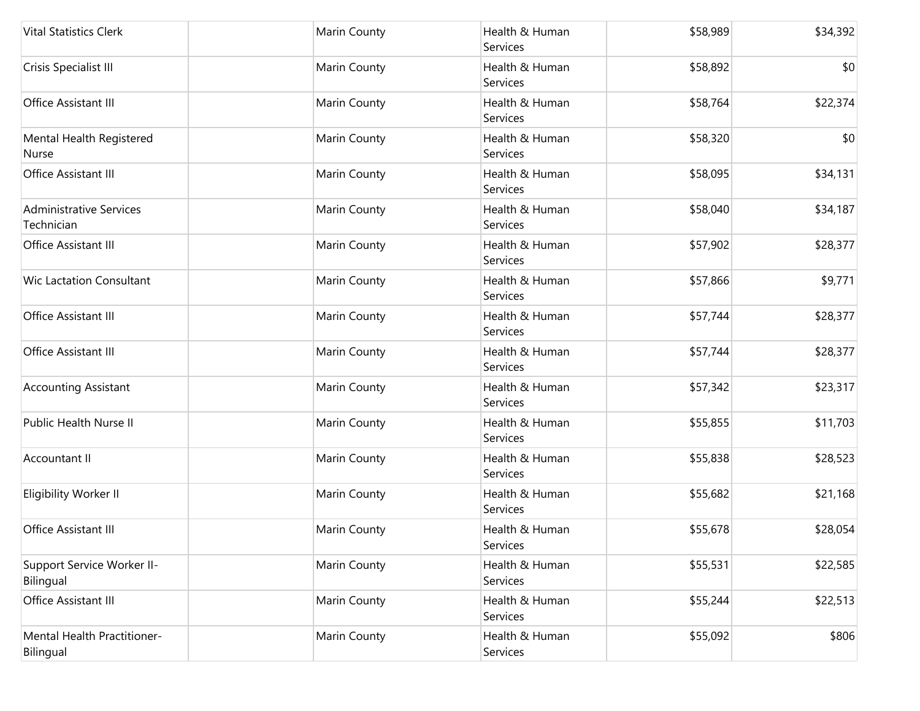| <b>Vital Statistics Clerk</b>                | Marin County | Health & Human<br>Services | \$58,989 | \$34,392 |
|----------------------------------------------|--------------|----------------------------|----------|----------|
| Crisis Specialist III                        | Marin County | Health & Human<br>Services | \$58,892 | \$0      |
| Office Assistant III                         | Marin County | Health & Human<br>Services | \$58,764 | \$22,374 |
| Mental Health Registered<br>Nurse            | Marin County | Health & Human<br>Services | \$58,320 | \$0      |
| Office Assistant III                         | Marin County | Health & Human<br>Services | \$58,095 | \$34,131 |
| <b>Administrative Services</b><br>Technician | Marin County | Health & Human<br>Services | \$58,040 | \$34,187 |
| Office Assistant III                         | Marin County | Health & Human<br>Services | \$57,902 | \$28,377 |
| <b>Wic Lactation Consultant</b>              | Marin County | Health & Human<br>Services | \$57,866 | \$9,771  |
| Office Assistant III                         | Marin County | Health & Human<br>Services | \$57,744 | \$28,377 |
| Office Assistant III                         | Marin County | Health & Human<br>Services | \$57,744 | \$28,377 |
| <b>Accounting Assistant</b>                  | Marin County | Health & Human<br>Services | \$57,342 | \$23,317 |
| Public Health Nurse II                       | Marin County | Health & Human<br>Services | \$55,855 | \$11,703 |
| Accountant II                                | Marin County | Health & Human<br>Services | \$55,838 | \$28,523 |
| Eligibility Worker II                        | Marin County | Health & Human<br>Services | \$55,682 | \$21,168 |
| Office Assistant III                         | Marin County | Health & Human<br>Services | \$55,678 | \$28,054 |
| Support Service Worker II-<br>Bilingual      | Marin County | Health & Human<br>Services | \$55,531 | \$22,585 |
| Office Assistant III                         | Marin County | Health & Human<br>Services | \$55,244 | \$22,513 |
| Mental Health Practitioner-<br>Bilingual     | Marin County | Health & Human<br>Services | \$55,092 | \$806    |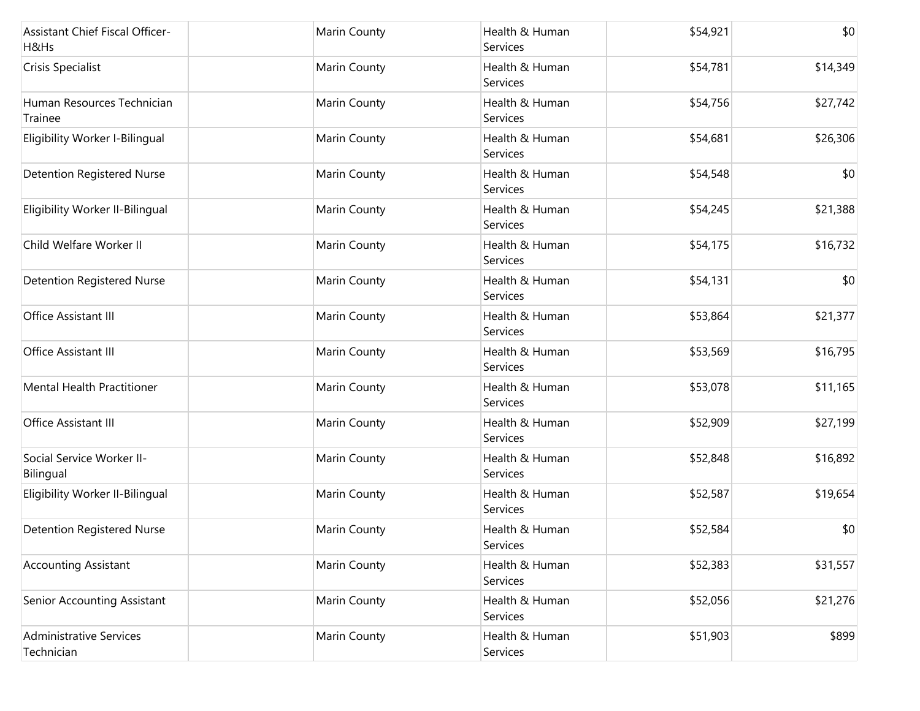| Assistant Chief Fiscal Officer-<br>H&Hs      | Marin County | Health & Human<br>Services | \$54,921 | \$0      |
|----------------------------------------------|--------------|----------------------------|----------|----------|
| Crisis Specialist                            | Marin County | Health & Human<br>Services | \$54,781 | \$14,349 |
| Human Resources Technician<br>Trainee        | Marin County | Health & Human<br>Services | \$54,756 | \$27,742 |
| Eligibility Worker I-Bilingual               | Marin County | Health & Human<br>Services | \$54,681 | \$26,306 |
| <b>Detention Registered Nurse</b>            | Marin County | Health & Human<br>Services | \$54,548 | \$0      |
| Eligibility Worker II-Bilingual              | Marin County | Health & Human<br>Services | \$54,245 | \$21,388 |
| Child Welfare Worker II                      | Marin County | Health & Human<br>Services | \$54,175 | \$16,732 |
| <b>Detention Registered Nurse</b>            | Marin County | Health & Human<br>Services | \$54,131 | \$0      |
| Office Assistant III                         | Marin County | Health & Human<br>Services | \$53,864 | \$21,377 |
| Office Assistant III                         | Marin County | Health & Human<br>Services | \$53,569 | \$16,795 |
| Mental Health Practitioner                   | Marin County | Health & Human<br>Services | \$53,078 | \$11,165 |
| Office Assistant III                         | Marin County | Health & Human<br>Services | \$52,909 | \$27,199 |
| Social Service Worker II-<br>Bilingual       | Marin County | Health & Human<br>Services | \$52,848 | \$16,892 |
| Eligibility Worker II-Bilingual              | Marin County | Health & Human<br>Services | \$52,587 | \$19,654 |
| <b>Detention Registered Nurse</b>            | Marin County | Health & Human<br>Services | \$52,584 | \$0      |
| <b>Accounting Assistant</b>                  | Marin County | Health & Human<br>Services | \$52,383 | \$31,557 |
| Senior Accounting Assistant                  | Marin County | Health & Human<br>Services | \$52,056 | \$21,276 |
| <b>Administrative Services</b><br>Technician | Marin County | Health & Human<br>Services | \$51,903 | \$899    |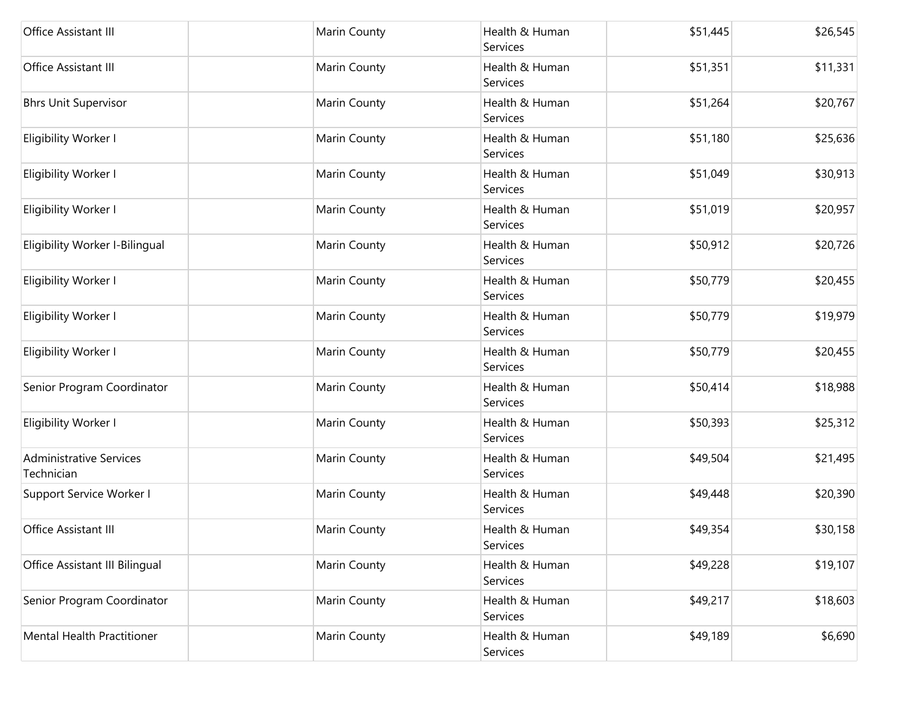| Office Assistant III                         | Marin County | Health & Human<br>Services | \$51,445 | \$26,545 |
|----------------------------------------------|--------------|----------------------------|----------|----------|
| Office Assistant III                         | Marin County | Health & Human<br>Services | \$51,351 | \$11,331 |
| <b>Bhrs Unit Supervisor</b>                  | Marin County | Health & Human<br>Services | \$51,264 | \$20,767 |
| Eligibility Worker I                         | Marin County | Health & Human<br>Services | \$51,180 | \$25,636 |
| Eligibility Worker I                         | Marin County | Health & Human<br>Services | \$51,049 | \$30,913 |
| Eligibility Worker I                         | Marin County | Health & Human<br>Services | \$51,019 | \$20,957 |
| Eligibility Worker I-Bilingual               | Marin County | Health & Human<br>Services | \$50,912 | \$20,726 |
| Eligibility Worker I                         | Marin County | Health & Human<br>Services | \$50,779 | \$20,455 |
| Eligibility Worker I                         | Marin County | Health & Human<br>Services | \$50,779 | \$19,979 |
| Eligibility Worker I                         | Marin County | Health & Human<br>Services | \$50,779 | \$20,455 |
| Senior Program Coordinator                   | Marin County | Health & Human<br>Services | \$50,414 | \$18,988 |
| Eligibility Worker I                         | Marin County | Health & Human<br>Services | \$50,393 | \$25,312 |
| <b>Administrative Services</b><br>Technician | Marin County | Health & Human<br>Services | \$49,504 | \$21,495 |
| Support Service Worker I                     | Marin County | Health & Human<br>Services | \$49,448 | \$20,390 |
| Office Assistant III                         | Marin County | Health & Human<br>Services | \$49,354 | \$30,158 |
| Office Assistant III Bilingual               | Marin County | Health & Human<br>Services | \$49,228 | \$19,107 |
| Senior Program Coordinator                   | Marin County | Health & Human<br>Services | \$49,217 | \$18,603 |
| <b>Mental Health Practitioner</b>            | Marin County | Health & Human<br>Services | \$49,189 | \$6,690  |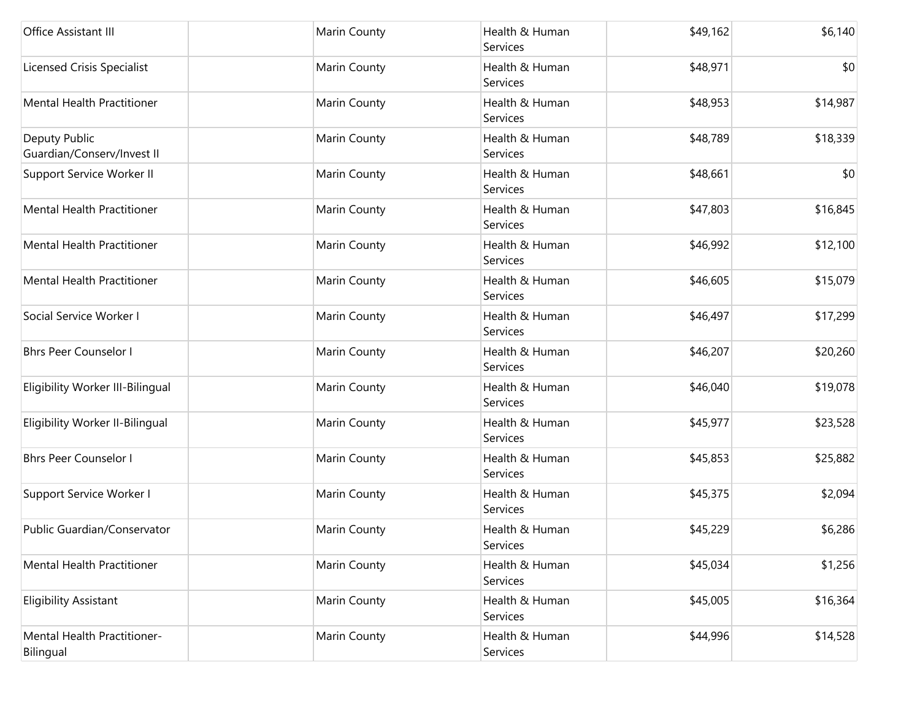| Office Assistant III                        | Marin County | Health & Human<br>Services | \$49,162 | \$6,140  |
|---------------------------------------------|--------------|----------------------------|----------|----------|
| <b>Licensed Crisis Specialist</b>           | Marin County | Health & Human<br>Services | \$48,971 | \$0      |
| Mental Health Practitioner                  | Marin County | Health & Human<br>Services | \$48,953 | \$14,987 |
| Deputy Public<br>Guardian/Conserv/Invest II | Marin County | Health & Human<br>Services | \$48,789 | \$18,339 |
| Support Service Worker II                   | Marin County | Health & Human<br>Services | \$48,661 | \$0      |
| Mental Health Practitioner                  | Marin County | Health & Human<br>Services | \$47,803 | \$16,845 |
| Mental Health Practitioner                  | Marin County | Health & Human<br>Services | \$46,992 | \$12,100 |
| Mental Health Practitioner                  | Marin County | Health & Human<br>Services | \$46,605 | \$15,079 |
| Social Service Worker I                     | Marin County | Health & Human<br>Services | \$46,497 | \$17,299 |
| <b>Bhrs Peer Counselor I</b>                | Marin County | Health & Human<br>Services | \$46,207 | \$20,260 |
| Eligibility Worker III-Bilingual            | Marin County | Health & Human<br>Services | \$46,040 | \$19,078 |
| Eligibility Worker II-Bilingual             | Marin County | Health & Human<br>Services | \$45,977 | \$23,528 |
| <b>Bhrs Peer Counselor I</b>                | Marin County | Health & Human<br>Services | \$45,853 | \$25,882 |
| Support Service Worker I                    | Marin County | Health & Human<br>Services | \$45,375 | \$2,094  |
| Public Guardian/Conservator                 | Marin County | Health & Human<br>Services | \$45,229 | \$6,286  |
| Mental Health Practitioner                  | Marin County | Health & Human<br>Services | \$45,034 | \$1,256  |
| <b>Eligibility Assistant</b>                | Marin County | Health & Human<br>Services | \$45,005 | \$16,364 |
| Mental Health Practitioner-<br>Bilingual    | Marin County | Health & Human<br>Services | \$44,996 | \$14,528 |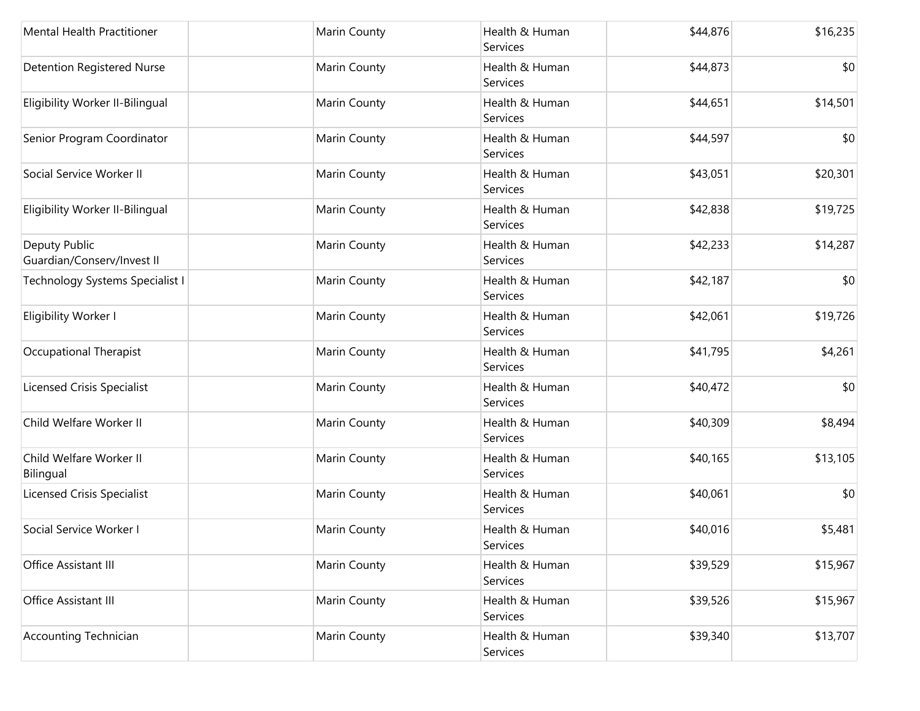| Mental Health Practitioner                  | Marin County | Health & Human<br>Services | \$44,876 | \$16,235 |
|---------------------------------------------|--------------|----------------------------|----------|----------|
| <b>Detention Registered Nurse</b>           | Marin County | Health & Human<br>Services | \$44,873 | \$0      |
| Eligibility Worker II-Bilingual             | Marin County | Health & Human<br>Services | \$44,651 | \$14,501 |
| Senior Program Coordinator                  | Marin County | Health & Human<br>Services | \$44,597 | \$0      |
| Social Service Worker II                    | Marin County | Health & Human<br>Services | \$43,051 | \$20,301 |
| Eligibility Worker II-Bilingual             | Marin County | Health & Human<br>Services | \$42,838 | \$19,725 |
| Deputy Public<br>Guardian/Conserv/Invest II | Marin County | Health & Human<br>Services | \$42,233 | \$14,287 |
| Technology Systems Specialist I             | Marin County | Health & Human<br>Services | \$42,187 | \$0      |
| Eligibility Worker I                        | Marin County | Health & Human<br>Services | \$42,061 | \$19,726 |
| Occupational Therapist                      | Marin County | Health & Human<br>Services | \$41,795 | \$4,261  |
| Licensed Crisis Specialist                  | Marin County | Health & Human<br>Services | \$40,472 | \$0      |
| Child Welfare Worker II                     | Marin County | Health & Human<br>Services | \$40,309 | \$8,494  |
| Child Welfare Worker II<br>Bilingual        | Marin County | Health & Human<br>Services | \$40,165 | \$13,105 |
| Licensed Crisis Specialist                  | Marin County | Health & Human<br>Services | \$40,061 | \$0      |
| Social Service Worker I                     | Marin County | Health & Human<br>Services | \$40,016 | \$5,481  |
| Office Assistant III                        | Marin County | Health & Human<br>Services | \$39,529 | \$15,967 |
| Office Assistant III                        | Marin County | Health & Human<br>Services | \$39,526 | \$15,967 |
| <b>Accounting Technician</b>                | Marin County | Health & Human<br>Services | \$39,340 | \$13,707 |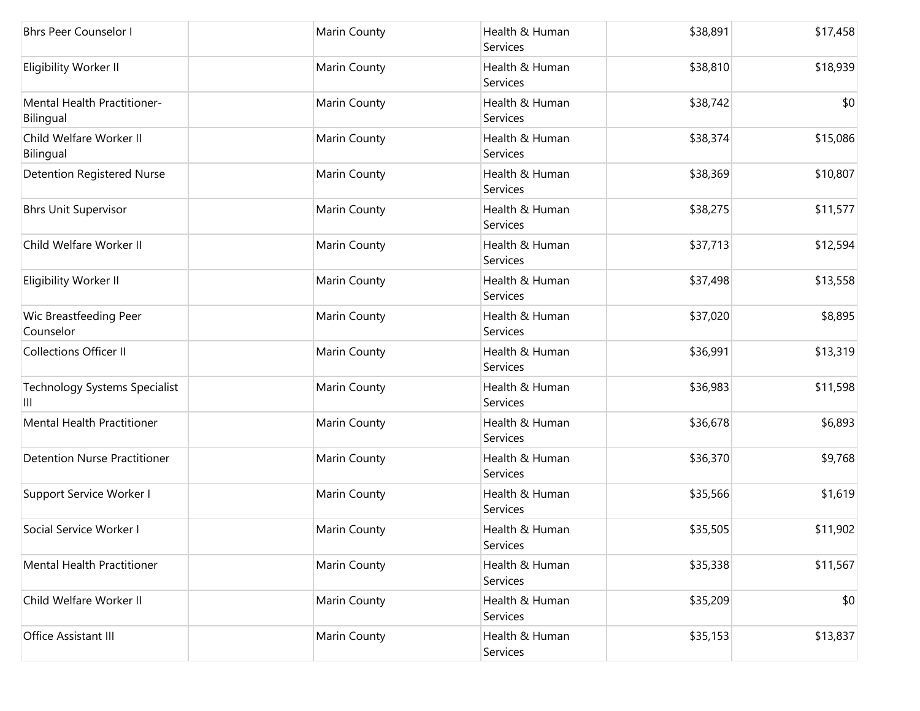| <b>Bhrs Peer Counselor I</b>              | Marin County | Health & Human<br>Services | \$38,891 | \$17,458 |
|-------------------------------------------|--------------|----------------------------|----------|----------|
| Eligibility Worker II                     | Marin County | Health & Human<br>Services | \$38,810 | \$18,939 |
| Mental Health Practitioner-<br>Bilingual  | Marin County | Health & Human<br>Services | \$38,742 | \$0      |
| Child Welfare Worker II<br>Bilingual      | Marin County | Health & Human<br>Services | \$38,374 | \$15,086 |
| <b>Detention Registered Nurse</b>         | Marin County | Health & Human<br>Services | \$38,369 | \$10,807 |
| <b>Bhrs Unit Supervisor</b>               | Marin County | Health & Human<br>Services | \$38,275 | \$11,577 |
| Child Welfare Worker II                   | Marin County | Health & Human<br>Services | \$37,713 | \$12,594 |
| Eligibility Worker II                     | Marin County | Health & Human<br>Services | \$37,498 | \$13,558 |
| Wic Breastfeeding Peer<br>Counselor       | Marin County | Health & Human<br>Services | \$37,020 | \$8,895  |
| <b>Collections Officer II</b>             | Marin County | Health & Human<br>Services | \$36,991 | \$13,319 |
| <b>Technology Systems Specialist</b><br>Ш | Marin County | Health & Human<br>Services | \$36,983 | \$11,598 |
| Mental Health Practitioner                | Marin County | Health & Human<br>Services | \$36,678 | \$6,893  |
| <b>Detention Nurse Practitioner</b>       | Marin County | Health & Human<br>Services | \$36,370 | \$9,768  |
| Support Service Worker I                  | Marin County | Health & Human<br>Services | \$35,566 | \$1,619  |
| Social Service Worker I                   | Marin County | Health & Human<br>Services | \$35,505 | \$11,902 |
| <b>Mental Health Practitioner</b>         | Marin County | Health & Human<br>Services | \$35,338 | \$11,567 |
| Child Welfare Worker II                   | Marin County | Health & Human<br>Services | \$35,209 | \$0      |
| Office Assistant III                      | Marin County | Health & Human<br>Services | \$35,153 | \$13,837 |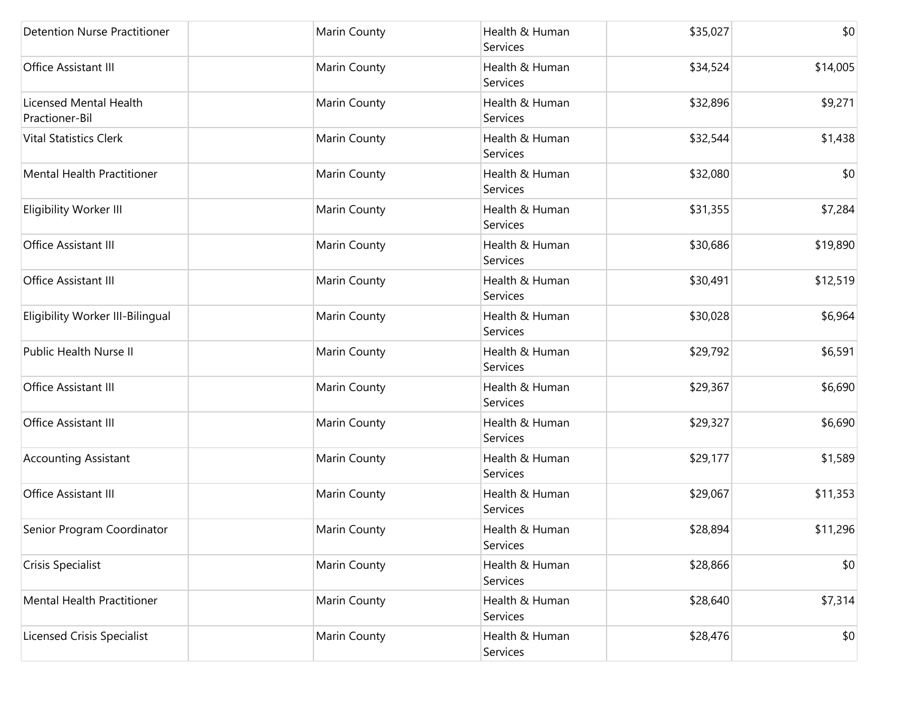| <b>Detention Nurse Practitioner</b>      | Marin County | Health & Human<br>Services | \$35,027 | \$0      |
|------------------------------------------|--------------|----------------------------|----------|----------|
| Office Assistant III                     | Marin County | Health & Human<br>Services | \$34,524 | \$14,005 |
| Licensed Mental Health<br>Practioner-Bil | Marin County | Health & Human<br>Services | \$32,896 | \$9,271  |
| <b>Vital Statistics Clerk</b>            | Marin County | Health & Human<br>Services | \$32,544 | \$1,438  |
| <b>Mental Health Practitioner</b>        | Marin County | Health & Human<br>Services | \$32,080 | \$0      |
| Eligibility Worker III                   | Marin County | Health & Human<br>Services | \$31,355 | \$7,284  |
| Office Assistant III                     | Marin County | Health & Human<br>Services | \$30,686 | \$19,890 |
| Office Assistant III                     | Marin County | Health & Human<br>Services | \$30,491 | \$12,519 |
| Eligibility Worker III-Bilingual         | Marin County | Health & Human<br>Services | \$30,028 | \$6,964  |
| Public Health Nurse II                   | Marin County | Health & Human<br>Services | \$29,792 | \$6,591  |
| Office Assistant III                     | Marin County | Health & Human<br>Services | \$29,367 | \$6,690  |
| Office Assistant III                     | Marin County | Health & Human<br>Services | \$29,327 | \$6,690  |
| <b>Accounting Assistant</b>              | Marin County | Health & Human<br>Services | \$29,177 | \$1,589  |
| Office Assistant III                     | Marin County | Health & Human<br>Services | \$29,067 | \$11,353 |
| Senior Program Coordinator               | Marin County | Health & Human<br>Services | \$28,894 | \$11,296 |
| Crisis Specialist                        | Marin County | Health & Human<br>Services | \$28,866 | \$0      |
| <b>Mental Health Practitioner</b>        | Marin County | Health & Human<br>Services | \$28,640 | \$7,314  |
| <b>Licensed Crisis Specialist</b>        | Marin County | Health & Human<br>Services | \$28,476 | \$0      |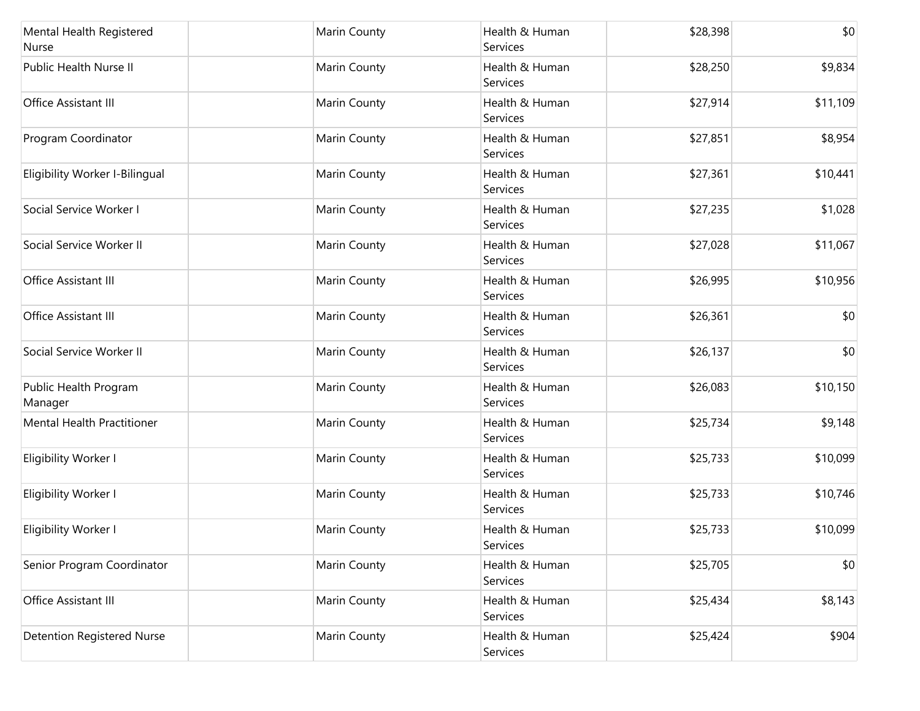| Mental Health Registered<br>Nurse | Marin County | Health & Human<br>Services | \$28,398 | \$0      |
|-----------------------------------|--------------|----------------------------|----------|----------|
| Public Health Nurse II            | Marin County | Health & Human<br>Services | \$28,250 | \$9,834  |
| Office Assistant III              | Marin County | Health & Human<br>Services | \$27,914 | \$11,109 |
| Program Coordinator               | Marin County | Health & Human<br>Services | \$27,851 | \$8,954  |
| Eligibility Worker I-Bilingual    | Marin County | Health & Human<br>Services | \$27,361 | \$10,441 |
| Social Service Worker I           | Marin County | Health & Human<br>Services | \$27,235 | \$1,028  |
| Social Service Worker II          | Marin County | Health & Human<br>Services | \$27,028 | \$11,067 |
| Office Assistant III              | Marin County | Health & Human<br>Services | \$26,995 | \$10,956 |
| Office Assistant III              | Marin County | Health & Human<br>Services | \$26,361 | \$0      |
| Social Service Worker II          | Marin County | Health & Human<br>Services | \$26,137 | \$0      |
| Public Health Program<br>Manager  | Marin County | Health & Human<br>Services | \$26,083 | \$10,150 |
| <b>Mental Health Practitioner</b> | Marin County | Health & Human<br>Services | \$25,734 | \$9,148  |
| Eligibility Worker I              | Marin County | Health & Human<br>Services | \$25,733 | \$10,099 |
| Eligibility Worker I              | Marin County | Health & Human<br>Services | \$25,733 | \$10,746 |
| Eligibility Worker I              | Marin County | Health & Human<br>Services | \$25,733 | \$10,099 |
| Senior Program Coordinator        | Marin County | Health & Human<br>Services | \$25,705 | \$0      |
| Office Assistant III              | Marin County | Health & Human<br>Services | \$25,434 | \$8,143  |
| <b>Detention Registered Nurse</b> | Marin County | Health & Human<br>Services | \$25,424 | \$904    |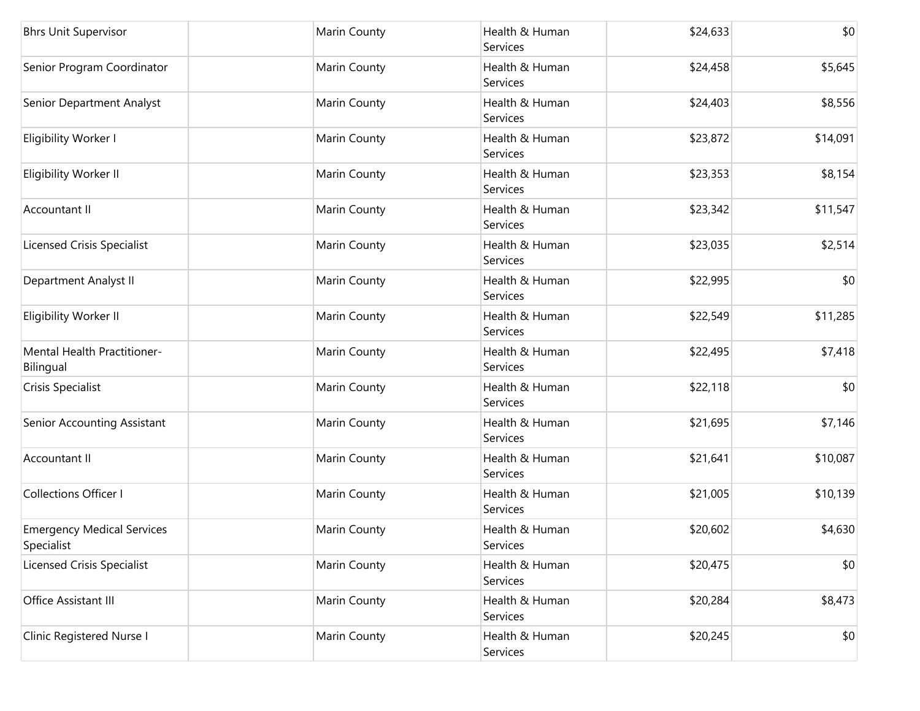| <b>Bhrs Unit Supervisor</b>                     | Marin County | Health & Human<br>Services        | \$24,633 | \$0      |
|-------------------------------------------------|--------------|-----------------------------------|----------|----------|
| Senior Program Coordinator                      | Marin County | Health & Human<br><b>Services</b> | \$24,458 | \$5,645  |
| Senior Department Analyst                       | Marin County | Health & Human<br>Services        | \$24,403 | \$8,556  |
| Eligibility Worker I                            | Marin County | Health & Human<br>Services        | \$23,872 | \$14,091 |
| Eligibility Worker II                           | Marin County | Health & Human<br>Services        | \$23,353 | \$8,154  |
| Accountant II                                   | Marin County | Health & Human<br>Services        | \$23,342 | \$11,547 |
| <b>Licensed Crisis Specialist</b>               | Marin County | Health & Human<br>Services        | \$23,035 | \$2,514  |
| Department Analyst II                           | Marin County | Health & Human<br>Services        | \$22,995 | \$0      |
| Eligibility Worker II                           | Marin County | Health & Human<br>Services        | \$22,549 | \$11,285 |
| Mental Health Practitioner-<br>Bilingual        | Marin County | Health & Human<br>Services        | \$22,495 | \$7,418  |
| Crisis Specialist                               | Marin County | Health & Human<br>Services        | \$22,118 | \$0      |
| Senior Accounting Assistant                     | Marin County | Health & Human<br>Services        | \$21,695 | \$7,146  |
| <b>Accountant II</b>                            | Marin County | Health & Human<br>Services        | \$21,641 | \$10,087 |
| Collections Officer I                           | Marin County | Health & Human<br>Services        | \$21,005 | \$10,139 |
| <b>Emergency Medical Services</b><br>Specialist | Marin County | Health & Human<br>Services        | \$20,602 | \$4,630  |
| <b>Licensed Crisis Specialist</b>               | Marin County | Health & Human<br>Services        | \$20,475 | \$0      |
| Office Assistant III                            | Marin County | Health & Human<br>Services        | \$20,284 | \$8,473  |
| Clinic Registered Nurse I                       | Marin County | Health & Human<br>Services        | \$20,245 | \$0      |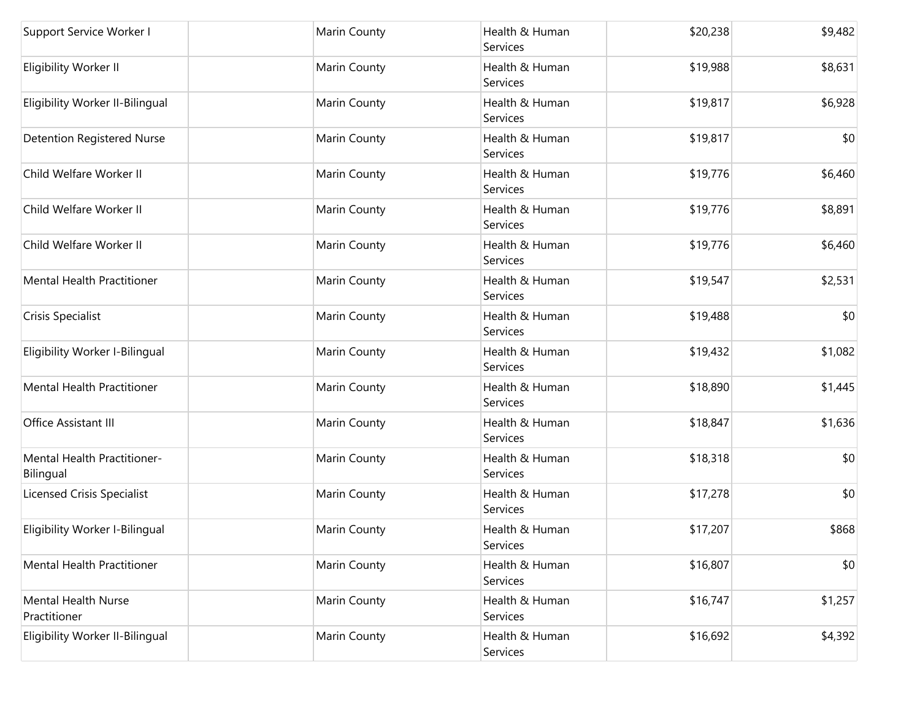| Support Service Worker I                   | Marin County | Health & Human<br>Services        | \$20,238 | \$9,482 |
|--------------------------------------------|--------------|-----------------------------------|----------|---------|
| Eligibility Worker II                      | Marin County | Health & Human<br>Services        | \$19,988 | \$8,631 |
| Eligibility Worker II-Bilingual            | Marin County | Health & Human<br>Services        | \$19,817 | \$6,928 |
| <b>Detention Registered Nurse</b>          | Marin County | Health & Human<br><b>Services</b> | \$19,817 | \$0     |
| Child Welfare Worker II                    | Marin County | Health & Human<br><b>Services</b> | \$19,776 | \$6,460 |
| Child Welfare Worker II                    | Marin County | Health & Human<br>Services        | \$19,776 | \$8,891 |
| Child Welfare Worker II                    | Marin County | Health & Human<br>Services        | \$19,776 | \$6,460 |
| Mental Health Practitioner                 | Marin County | Health & Human<br>Services        | \$19,547 | \$2,531 |
| Crisis Specialist                          | Marin County | Health & Human<br>Services        | \$19,488 | \$0     |
| Eligibility Worker I-Bilingual             | Marin County | Health & Human<br>Services        | \$19,432 | \$1,082 |
| Mental Health Practitioner                 | Marin County | Health & Human<br>Services        | \$18,890 | \$1,445 |
| Office Assistant III                       | Marin County | Health & Human<br>Services        | \$18,847 | \$1,636 |
| Mental Health Practitioner-<br>Bilingual   | Marin County | Health & Human<br>Services        | \$18,318 | \$0     |
| Licensed Crisis Specialist                 | Marin County | Health & Human<br>Services        | \$17,278 | \$0     |
| Eligibility Worker I-Bilingual             | Marin County | Health & Human<br>Services        | \$17,207 | \$868   |
| Mental Health Practitioner                 | Marin County | Health & Human<br>Services        | \$16,807 | \$0     |
| <b>Mental Health Nurse</b><br>Practitioner | Marin County | Health & Human<br>Services        | \$16,747 | \$1,257 |
| Eligibility Worker II-Bilingual            | Marin County | Health & Human<br>Services        | \$16,692 | \$4,392 |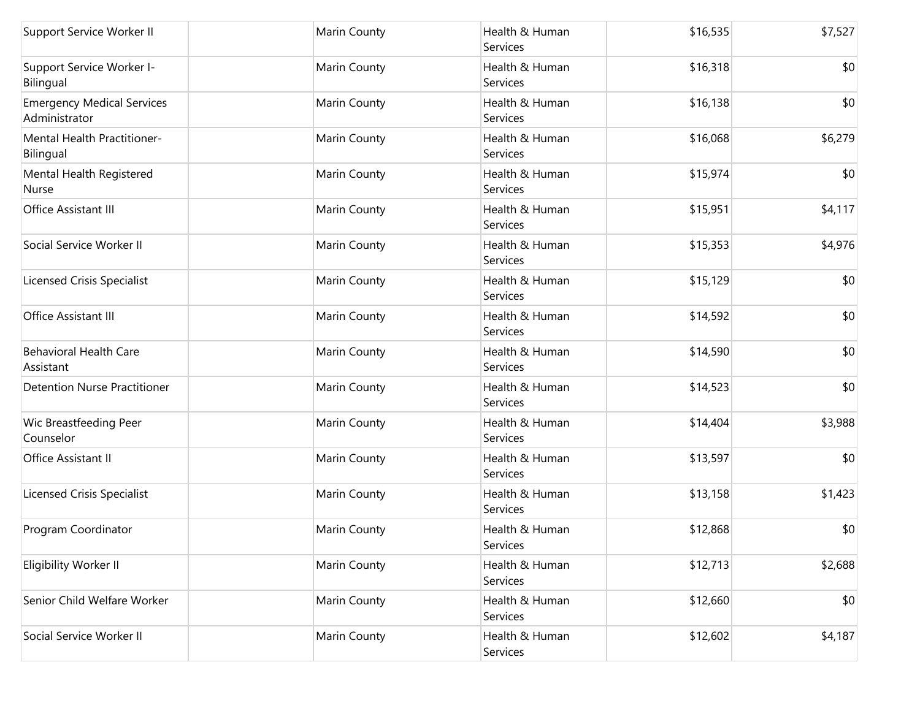| Support Service Worker II                          | Marin County | Health & Human<br>Services | \$16,535 | \$7,527 |
|----------------------------------------------------|--------------|----------------------------|----------|---------|
| Support Service Worker I-<br>Bilingual             | Marin County | Health & Human<br>Services | \$16,318 | \$0     |
| <b>Emergency Medical Services</b><br>Administrator | Marin County | Health & Human<br>Services | \$16,138 | \$0     |
| Mental Health Practitioner-<br>Bilingual           | Marin County | Health & Human<br>Services | \$16,068 | \$6,279 |
| Mental Health Registered<br>Nurse                  | Marin County | Health & Human<br>Services | \$15,974 | \$0     |
| Office Assistant III                               | Marin County | Health & Human<br>Services | \$15,951 | \$4,117 |
| Social Service Worker II                           | Marin County | Health & Human<br>Services | \$15,353 | \$4,976 |
| <b>Licensed Crisis Specialist</b>                  | Marin County | Health & Human<br>Services | \$15,129 | \$0     |
| Office Assistant III                               | Marin County | Health & Human<br>Services | \$14,592 | \$0     |
| <b>Behavioral Health Care</b><br>Assistant         | Marin County | Health & Human<br>Services | \$14,590 | \$0     |
| <b>Detention Nurse Practitioner</b>                | Marin County | Health & Human<br>Services | \$14,523 | \$0     |
| Wic Breastfeeding Peer<br>Counselor                | Marin County | Health & Human<br>Services | \$14,404 | \$3,988 |
| Office Assistant II                                | Marin County | Health & Human<br>Services | \$13,597 | \$0     |
| <b>Licensed Crisis Specialist</b>                  | Marin County | Health & Human<br>Services | \$13,158 | \$1,423 |
| Program Coordinator                                | Marin County | Health & Human<br>Services | \$12,868 | \$0     |
| Eligibility Worker II                              | Marin County | Health & Human<br>Services | \$12,713 | \$2,688 |
| Senior Child Welfare Worker                        | Marin County | Health & Human<br>Services | \$12,660 | \$0     |
| Social Service Worker II                           | Marin County | Health & Human<br>Services | \$12,602 | \$4,187 |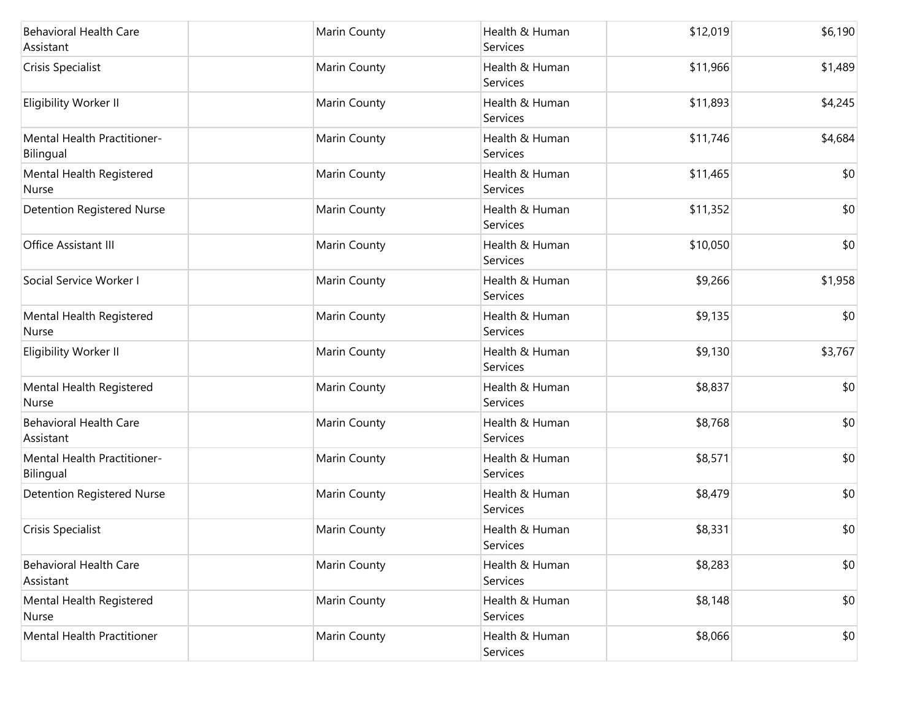| <b>Behavioral Health Care</b><br>Assistant | Marin County | Health & Human<br>Services | \$12,019 | \$6,190 |
|--------------------------------------------|--------------|----------------------------|----------|---------|
| Crisis Specialist                          | Marin County | Health & Human<br>Services | \$11,966 | \$1,489 |
| Eligibility Worker II                      | Marin County | Health & Human<br>Services | \$11,893 | \$4,245 |
| Mental Health Practitioner-<br>Bilingual   | Marin County | Health & Human<br>Services | \$11,746 | \$4,684 |
| Mental Health Registered<br>Nurse          | Marin County | Health & Human<br>Services | \$11,465 | \$0     |
| <b>Detention Registered Nurse</b>          | Marin County | Health & Human<br>Services | \$11,352 | \$0     |
| Office Assistant III                       | Marin County | Health & Human<br>Services | \$10,050 | \$0     |
| Social Service Worker I                    | Marin County | Health & Human<br>Services | \$9,266  | \$1,958 |
| Mental Health Registered<br>Nurse          | Marin County | Health & Human<br>Services | \$9,135  | \$0     |
| Eligibility Worker II                      | Marin County | Health & Human<br>Services | \$9,130  | \$3,767 |
| Mental Health Registered<br>Nurse          | Marin County | Health & Human<br>Services | \$8,837  | \$0     |
| <b>Behavioral Health Care</b><br>Assistant | Marin County | Health & Human<br>Services | \$8,768  | \$0     |
| Mental Health Practitioner-<br>Bilingual   | Marin County | Health & Human<br>Services | \$8,571  | \$0     |
| <b>Detention Registered Nurse</b>          | Marin County | Health & Human<br>Services | \$8,479  | \$0     |
| Crisis Specialist                          | Marin County | Health & Human<br>Services | \$8,331  | \$0     |
| <b>Behavioral Health Care</b><br>Assistant | Marin County | Health & Human<br>Services | \$8,283  | \$0     |
| Mental Health Registered<br>Nurse          | Marin County | Health & Human<br>Services | \$8,148  | \$0     |
| Mental Health Practitioner                 | Marin County | Health & Human<br>Services | \$8,066  | \$0     |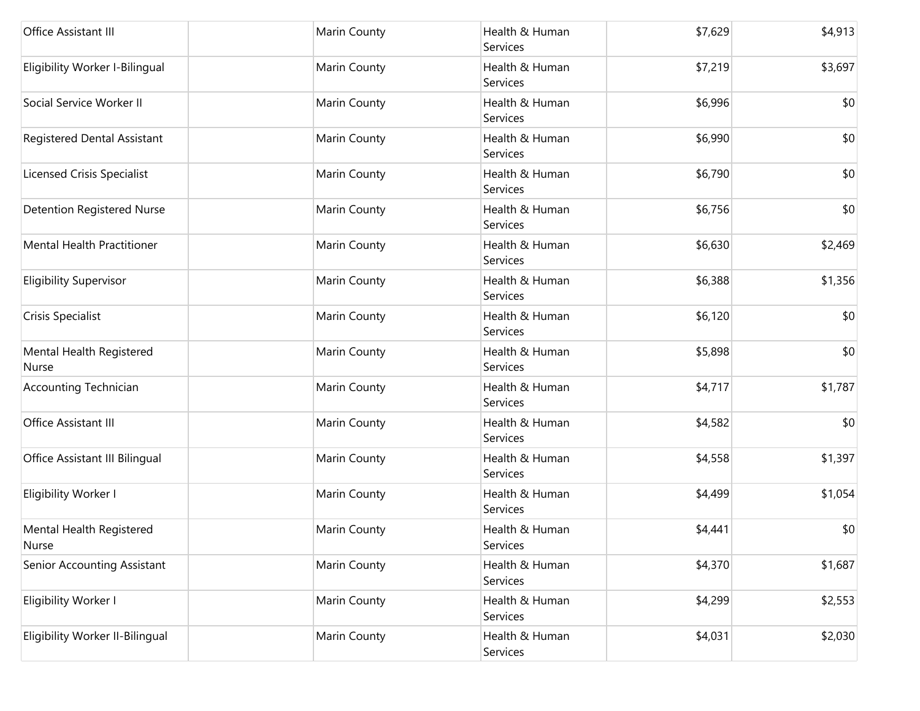| Office Assistant III                     | Marin County | Health & Human<br>Services | \$7,629 | \$4,913 |
|------------------------------------------|--------------|----------------------------|---------|---------|
| Eligibility Worker I-Bilingual           | Marin County | Health & Human<br>Services | \$7,219 | \$3,697 |
| Social Service Worker II                 | Marin County | Health & Human<br>Services | \$6,996 | \$0     |
| Registered Dental Assistant              | Marin County | Health & Human<br>Services | \$6,990 | \$0     |
| <b>Licensed Crisis Specialist</b>        | Marin County | Health & Human<br>Services | \$6,790 | \$0     |
| <b>Detention Registered Nurse</b>        | Marin County | Health & Human<br>Services | \$6,756 | \$0     |
| Mental Health Practitioner               | Marin County | Health & Human<br>Services | \$6,630 | \$2,469 |
| <b>Eligibility Supervisor</b>            | Marin County | Health & Human<br>Services | \$6,388 | \$1,356 |
| Crisis Specialist                        | Marin County | Health & Human<br>Services | \$6,120 | \$0     |
| Mental Health Registered<br>Nurse        | Marin County | Health & Human<br>Services | \$5,898 | \$0     |
| <b>Accounting Technician</b>             | Marin County | Health & Human<br>Services | \$4,717 | \$1,787 |
| Office Assistant III                     | Marin County | Health & Human<br>Services | \$4,582 | \$0     |
| Office Assistant III Bilingual           | Marin County | Health & Human<br>Services | \$4,558 | \$1,397 |
| Eligibility Worker I                     | Marin County | Health & Human<br>Services | \$4,499 | \$1,054 |
| Mental Health Registered<br><b>Nurse</b> | Marin County | Health & Human<br>Services | \$4,441 | \$0     |
| Senior Accounting Assistant              | Marin County | Health & Human<br>Services | \$4,370 | \$1,687 |
| Eligibility Worker I                     | Marin County | Health & Human<br>Services | \$4,299 | \$2,553 |
| Eligibility Worker II-Bilingual          | Marin County | Health & Human<br>Services | \$4,031 | \$2,030 |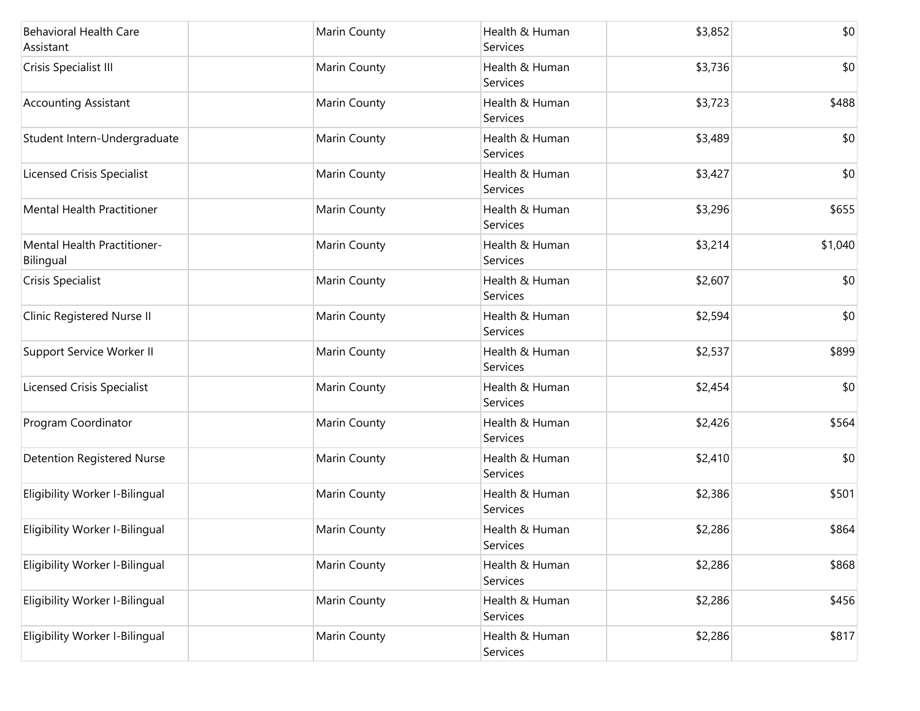| <b>Behavioral Health Care</b><br>Assistant      | Marin County | Health & Human<br>Services | \$3,852 | \$0     |
|-------------------------------------------------|--------------|----------------------------|---------|---------|
| Crisis Specialist III                           | Marin County | Health & Human<br>Services | \$3,736 | \$0     |
| <b>Accounting Assistant</b>                     | Marin County | Health & Human<br>Services | \$3,723 | \$488   |
| Student Intern-Undergraduate                    | Marin County | Health & Human<br>Services | \$3,489 | \$0     |
| <b>Licensed Crisis Specialist</b>               | Marin County | Health & Human<br>Services | \$3,427 | \$0     |
| <b>Mental Health Practitioner</b>               | Marin County | Health & Human<br>Services | \$3,296 | \$655   |
| <b>Mental Health Practitioner-</b><br>Bilingual | Marin County | Health & Human<br>Services | \$3,214 | \$1,040 |
| Crisis Specialist                               | Marin County | Health & Human<br>Services | \$2,607 | \$0     |
| Clinic Registered Nurse II                      | Marin County | Health & Human<br>Services | \$2,594 | \$0     |
| Support Service Worker II                       | Marin County | Health & Human<br>Services | \$2,537 | \$899   |
| <b>Licensed Crisis Specialist</b>               | Marin County | Health & Human<br>Services | \$2,454 | \$0     |
| Program Coordinator                             | Marin County | Health & Human<br>Services | \$2,426 | \$564   |
| <b>Detention Registered Nurse</b>               | Marin County | Health & Human<br>Services | \$2,410 | \$0     |
| Eligibility Worker I-Bilingual                  | Marin County | Health & Human<br>Services | \$2,386 | \$501   |
| Eligibility Worker I-Bilingual                  | Marin County | Health & Human<br>Services | \$2,286 | \$864   |
| Eligibility Worker I-Bilingual                  | Marin County | Health & Human<br>Services | \$2,286 | \$868   |
| Eligibility Worker I-Bilingual                  | Marin County | Health & Human<br>Services | \$2,286 | \$456   |
| Eligibility Worker I-Bilingual                  | Marin County | Health & Human<br>Services | \$2,286 | \$817   |